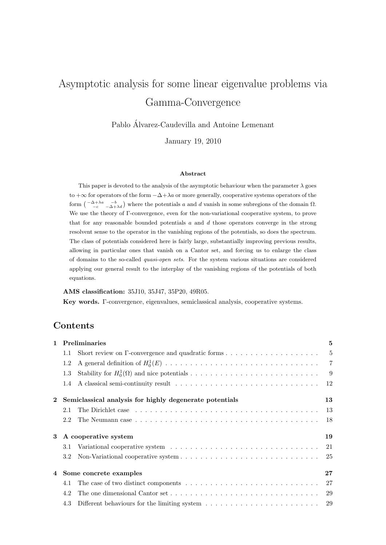# Asymptotic analysis for some linear eigenvalue problems via Gamma-Convergence

Pablo Alvarez-Caudevilla and Antoine Lemenant ´

January 19, 2010

#### Abstract

This paper is devoted to the analysis of the asymptotic behaviour when the parameter  $\lambda$  goes to  $+\infty$  for operators of the form  $-\Delta + \lambda a$  or more generally, cooperative systems operators of the form  $\begin{pmatrix} -\Delta+\lambda a & -b \\ -c & -\Delta+\lambda d \end{pmatrix}$  where the potentials a and d vanish in some subregions of the domain  $\Omega$ . We use the theory of Γ-convergence, even for the non-variational cooperative system, to prove that for any reasonable bounded potentials  $a$  and  $d$  those operators converge in the strong resolvent sense to the operator in the vanishing regions of the potentials, so does the spectrum. The class of potentials considered here is fairly large, substantially improving previous results, allowing in particular ones that vanish on a Cantor set, and forcing us to enlarge the class of domains to the so-called quasi-open sets. For the system various situations are considered applying our general result to the interplay of the vanishing regions of the potentials of both equations.

#### AMS classification: 35J10, 35J47, 35P20, 49R05.

Key words. Γ-convergence, eigenvalues, semiclassical analysis, cooperative systems.

### Contents

|              | 1 Preliminaries                                         |  | 5   |
|--------------|---------------------------------------------------------|--|-----|
|              | 1.1                                                     |  |     |
|              | 1.2                                                     |  |     |
|              | 1.3                                                     |  |     |
|              |                                                         |  |     |
| $\mathbf{2}$ | Semiclassical analysis for highly degenerate potentials |  | 13  |
|              | 2.1                                                     |  |     |
|              | 2.2                                                     |  | -18 |
| 3            | A cooperative system                                    |  | 19  |
|              | 3.1                                                     |  |     |
|              |                                                         |  |     |
|              | 4 Some concrete examples                                |  | 27  |
|              | 4.1                                                     |  |     |
|              | 4.2                                                     |  |     |
|              | 4.3                                                     |  |     |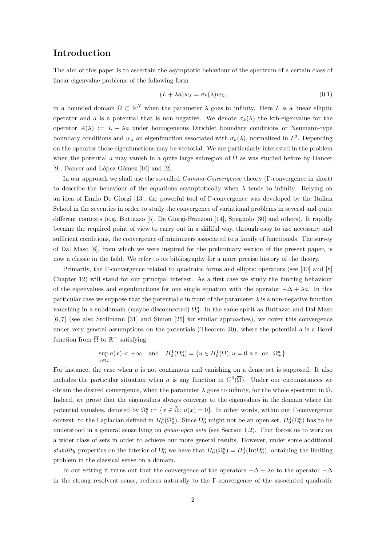### Introduction

The aim of this paper is to ascertain the asymptotic behaviour of the spectrum of a certain class of linear eigenvalue problems of the following form

$$
(L + \lambda a)w_{\lambda} = \sigma_k(\lambda)w_{\lambda},\tag{0.1}
$$

in a bounded domain  $\Omega \subset \mathbb{R}^N$  when the parameter  $\lambda$  goes to infinity. Here L is a linear elliptic operator and a is a potential that is non negative. We denote  $\sigma_k(\lambda)$  the kth-eigenvalue for the operator  $A(\lambda) := L + \lambda a$  under homogeneous Dirichlet boundary conditions or Neumann-type boundary conditions and  $w_{\lambda}$  an eigenfunction associated with  $\sigma_k(\lambda)$ , normalized in  $L^2$ . Depending on the operator those eigenfunctions may be vectorial. We are particularly interested in the problem when the potential a may vanish in a quite large subregion of  $\Omega$  as was studied before by Dancer [9], Dancer and López-Gómez  $[10]$  and  $[2]$ .

In our approach we shall use the so-called Gamma-Convergence theory (Γ-convergence in short) to describe the behaviour of the equations asymptotically when  $\lambda$  tends to infinity. Relying on an idea of Ennio De Giorgi [13], the powerful tool of Γ-convergence was developed by the Italian School in the seventies in order to study the convergence of variational problems in several and quite different contexts (e.g. Buttazzo [5], De Giorgi-Franzoni [14], Spagnolo [30] and others). It rapidly became the required point of view to carry out in a skillful way, through easy to use necessary and sufficient conditions, the convergence of minimizers associated to a family of functionals. The survey of Dal Maso [8], from which we were inspired for the preliminary section of the present paper, is now a classic in the field. We refer to its bibliography for a more precise history of the theory.

Primarily, the Γ-convergence related to quadratic forms and elliptic operators (see [30] and [8] Chapter 12) will stand for our principal interest. As a first case we study the limiting behaviour of the eigenvalues and eigenfunctions for one single equation with the operator  $-\Delta + \lambda a$ . In this particular case we suppose that the potential a in front of the parameter  $\lambda$  is a non-negative function vanishing in a subdomain (maybe disconnected)  $\Omega_0^a$ . In the same spirit as Buttazzo and Dal Maso [6, 7] (see also Stollmann [31] and Simon [25] for similar approaches), we cover this convergence under very general assumptions on the potentials (Theorem 30), where the potential a is a Borel function from  $\overline{\Omega}$  to  $\mathbb{R}^+$  satisfying

$$
\sup_{x\in\overline{\Omega}}a(x)<+\infty\quad\text{and}\quad H^1_0(\Omega^a_0)=\{u\in H^1_0(\Omega);u=0\text{ a.e. on }\Omega^a_+\}.
$$

For instance, the case when a is not continuous and vanishing on a dense set is supposed. It also includes the particular situation when a is any function in  $C^0(\overline{\Omega})$ . Under our circumstances we obtain the desired convergence, when the parameter  $\lambda$  goes to infinity, for the whole spectrum in  $\Omega$ . Indeed, we prove that the eigenvalues always converge to the eigenvalues in the domain where the potential vanishes, denoted by  $\Omega_0^a := \{x \in \overline{\Omega} \, ; \, a(x) = 0\}$ . In other words, within our Γ-convergence context, to the Laplacian defined in  $H_0^1(\Omega_0^a)$ . Since  $\Omega_0^a$  might not be an open set,  $H_0^1(\Omega_0^a)$  has to be understood in a general sense lying on *quasi-open sets* (see Section 1.2). That forces us to work on a wider class of sets in order to achieve our more general results. However, under some additional stability properties on the interior of  $\Omega_0^a$  we have that  $H_0^1(\Omega_0^a) = H_0^1(\text{Int}\Omega_0^a)$ , obtaining the limiting problem in the classical sense on a domain.

In our setting it turns out that the convergence of the operators  $-\Delta + \lambda a$  to the operator  $-\Delta$ in the strong resolvent sense, reduces naturally to the Γ-convergence of the associated quadratic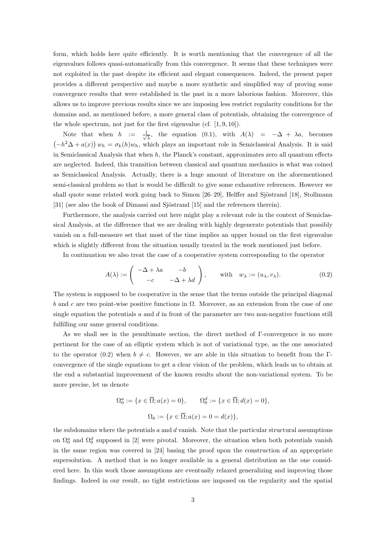form, which holds here quite efficiently. It is worth mentioning that the convergence of all the eigenvalues follows quasi-automatically from this convergence. It seems that these techniques were not exploited in the past despite its efficient and elegant consequences. Indeed, the present paper provides a different perspective and maybe a more synthetic and simplified way of proving some convergence results that were established in the past in a more laborious fashion. Moreover, this allows us to improve previous results since we are imposing less restrict regularity conditions for the domains and, as mentioned before, a more general class of potentials, obtaining the convergence of the whole spectrum, not just for the first eigenvalue (cf. [1, 9, 10]).

Note that when  $h := \frac{1}{\sqrt{2}}$  $\frac{1}{\lambda}$ , the equation (0.1), with  $A(\lambda) = -\Delta + \lambda a$ , becomes  $(-h^2\Delta + a(x)) w_h = \sigma_k(h)w_h$ , which plays an important role in Semiclassical Analysis. It is said in Semiclassical Analysis that when  $h$ , the Planck's constant, approximates zero all quantum effects are neglected. Indeed, this transition between classical and quantum mechanics is what was coined as Semiclassical Analysis. Actually, there is a huge amount of literature on the aforementioned semi-classical problem so that is would be difficult to give some exhaustive references. However we shall quote some related work going back to Simon [26–29], Helffer and Sjöstrand [18], Stollmann [31] (see also the book of Dimassi and Sjöstrand [15] and the references therein).

Furthermore, the analysis carried out here might play a relevant role in the context of Semiclassical Analysis, at the difference that we are dealing with highly degenerate potentials that possibly vanish on a full-measure set that most of the time implies an upper bound on the first eigenvalue which is slightly different from the situation usually treated in the work mentioned just before.

In continuation we also treat the case of a cooperative system corresponding to the operator

$$
A(\lambda) := \begin{pmatrix} -\Delta + \lambda a & -b \\ -c & -\Delta + \lambda d \end{pmatrix}, \quad \text{with} \quad w_{\lambda} := (u_{\lambda}, v_{\lambda}). \tag{0.2}
$$

The system is supposed to be cooperative in the sense that the terms outside the principal diagonal b and c are two point-wise positive functions in  $\Omega$ . Moreover, as an extension from the case of one single equation the potentials  $a$  and  $d$  in front of the parameter are two non-negative functions still fulfilling our same general conditions.

As we shall see in the penultimate section, the direct method of Γ-convergence is no more pertinent for the case of an elliptic system which is not of variational type, as the one associated to the operator (0.2) when  $b \neq c$ . However, we are able in this situation to benefit from the Γconvergence of the single equations to get a clear vision of the problem, which leads us to obtain at the end a substantial improvement of the known results about the non-variational system. To be more precise, let us denote

$$
\Omega_0^a := \{x \in \overline{\Omega}; a(x) = 0\}, \qquad \Omega_0^d := \{x \in \overline{\Omega}; d(x) = 0\},\
$$
  

$$
\Omega_0 := \{x \in \overline{\Omega}; a(x) = 0 = d(x)\},\
$$

the subdomains where the potentials  $a$  and  $d$  vanish. Note that the particular structural assumptions on  $\Omega_0^a$  and  $\Omega_0^d$  supposed in [2] were pivotal. Moreover, the situation when both potentials vanish in the same region was covered in [24] basing the proof upon the construction of an appropriate supersolution. A method that is no longer available in a general distribution as the one considered here. In this work those assumptions are eventually relaxed generalizing and improving those findings. Indeed in our result, no tight restrictions are imposed on the regularity and the spatial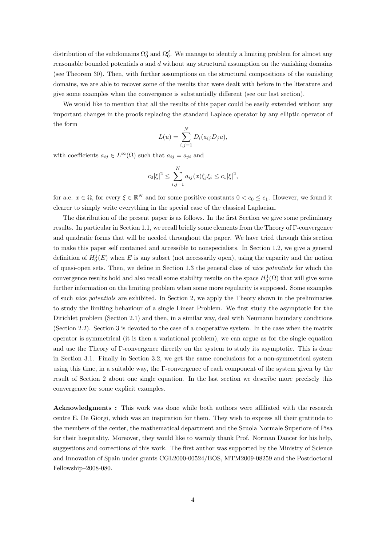distribution of the subdomains  $\Omega_0^a$  and  $\Omega_0^d$ . We manage to identify a limiting problem for almost any reasonable bounded potentials  $a$  and  $d$  without any structural assumption on the vanishing domains (see Theorem 30). Then, with further assumptions on the structural compositions of the vanishing domains, we are able to recover some of the results that were dealt with before in the literature and give some examples when the convergence is substantially different (see our last section).

We would like to mention that all the results of this paper could be easily extended without any important changes in the proofs replacing the standard Laplace operator by any elliptic operator of the form

$$
L(u) = \sum_{i,j=1}^{N} D_i(a_{ij}D_ju),
$$

with coefficients  $a_{ij} \in L^{\infty}(\Omega)$  such that  $a_{ij} = a_{ji}$  and

$$
c_0|\xi|^2 \le \sum_{i,j=1}^N a_{ij}(x)\xi_j\xi_i \le c_1|\xi|^2,
$$

for a.e.  $x \in \Omega$ , for every  $\xi \in \mathbb{R}^N$  and for some positive constants  $0 < c_0 \leq c_1$ . However, we found it clearer to simply write everything in the special case of the classical Laplacian.

The distribution of the present paper is as follows. In the first Section we give some preliminary results. In particular in Section 1.1, we recall briefly some elements from the Theory of Γ-convergence and quadratic forms that will be needed throughout the paper. We have tried through this section to make this paper self contained and accessible to nonspecialists. In Section 1.2, we give a general definition of  $H_0^1(E)$  when E is any subset (not necessarily open), using the capacity and the notion of quasi-open sets. Then, we define in Section 1.3 the general class of nice potentials for which the convergence results hold and also recall some stability results on the space  $H_0^1(\Omega)$  that will give some further information on the limiting problem when some more regularity is supposed. Some examples of such nice potentials are exhibited. In Section 2, we apply the Theory shown in the preliminaries to study the limiting behaviour of a single Linear Problem. We first study the asymptotic for the Dirichlet problem (Section 2.1) and then, in a similar way, deal with Neumann boundary conditions (Section 2.2). Section 3 is devoted to the case of a cooperative system. In the case when the matrix operator is symmetrical (it is then a variational problem), we can argue as for the single equation and use the Theory of Γ-convergence directly on the system to study its asymptotic. This is done in Section 3.1. Finally in Section 3.2, we get the same conclusions for a non-symmetrical system using this time, in a suitable way, the Γ-convergence of each component of the system given by the result of Section 2 about one single equation. In the last section we describe more precisely this convergence for some explicit examples.

Acknowledgments : This work was done while both authors were affiliated with the research centre E. De Giorgi, which was an inspiration for them. They wish to express all their gratitude to the members of the center, the mathematical department and the Scuola Normale Superiore of Pisa for their hospitality. Moreover, they would like to warmly thank Prof. Norman Dancer for his help, suggestions and corrections of this work. The first author was supported by the Ministry of Science and Innovation of Spain under grants CGL2000-00524/BOS, MTM2009-08259 and the Postdoctoral Fellowship–2008-080.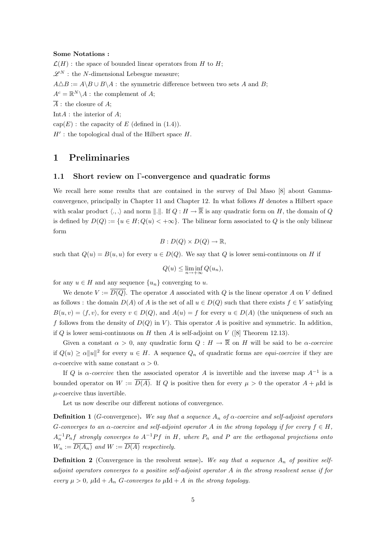#### Some Notations :

 $\mathcal{L}(H)$ : the space of bounded linear operators from H to H;  $\mathscr{L}^N$ : the N-dimensional Lebesgue measure;  $A \triangle B := A \setminus B \cup B \setminus A$ : the symmetric difference between two sets A and B;  $A^c = \mathbb{R}^N \backslash A$ : the complement of A;  $\overline{A}$ : the closure of A; Int $A$ : the interior of  $A$ ; cap $(E)$ : the capacity of E (defined in  $(1.4)$ ).

 $H'$ : the topological dual of the Hilbert space  $H$ .

### 1 Preliminaries

### 1.1 Short review on Γ-convergence and quadratic forms

We recall here some results that are contained in the survey of Dal Maso [8] about Gammaconvergence, principally in Chapter 11 and Chapter 12. In what follows  $H$  denotes a Hilbert space with scalar product  $\langle ., . \rangle$  and norm  $\| . \|$ . If  $Q : H \to \overline{\mathbb{R}}$  is any quadratic form on H, the domain of Q is defined by  $D(Q) := \{u \in H; Q(u) < +\infty\}$ . The bilinear form associated to Q is the only bilinear form

$$
B: D(Q) \times D(Q) \to \mathbb{R},
$$

such that  $Q(u) = B(u, u)$  for every  $u \in D(Q)$ . We say that Q is lower semi-continuous on H if

$$
Q(u) \le \liminf_{n \to +\infty} Q(u_n),
$$

for any  $u \in H$  and any sequence  $\{u_n\}$  converging to u.

We denote  $V := \overline{D(Q)}$ . The operator A associated with Q is the linear operator A on V defined as follows : the domain  $D(A)$  of A is the set of all  $u \in D(Q)$  such that there exists  $f \in V$  satisfying  $B(u, v) = \langle f, v \rangle$ , for every  $v \in D(Q)$ , and  $A(u) = f$  for every  $u \in D(A)$  (the uniqueness of such an f follows from the density of  $D(Q)$  in V). This operator A is positive and symmetric. In addition, if  $Q$  is lower semi-continuous on  $H$  then  $A$  is self-adjoint on  $V$  ([8] Theorem 12.13).

Given a constant  $\alpha > 0$ , any quadratic form  $Q : H \to \overline{\mathbb{R}}$  on H will be said to be  $\alpha$ -coercive if  $Q(u) \ge \alpha ||u||^2$  for every  $u \in H$ . A sequence  $Q_n$  of quadratic forms are *equi-coercive* if they are  $\alpha$ -coercive with same constant  $\alpha > 0$ .

If Q is  $\alpha$ -coercive then the associated operator A is invertible and the inverse map  $A^{-1}$  is a bounded operator on  $W := \overline{D(A)}$ . If Q is positive then for every  $\mu > 0$  the operator  $A + \mu \text{Id}$  is  $\mu$ -coercive thus invertible.

Let us now describe our different notions of convergence.

**Definition 1** (G-convergence). We say that a sequence  $A_n$  of  $\alpha$ -coercive and self-adjoint operators G-converges to an  $\alpha$ -coercive and self-adjoint operator A in the strong topology if for every  $f \in H$ ,  $A_n^{-1}P_nf$  strongly converges to  $A^{-1}Pf$  in H, where  $P_n$  and P are the orthogonal projections onto  $W_n := \overline{D(A_n)}$  and  $W := \overline{D(A)}$  respectively.

**Definition 2** (Convergence in the resolvent sense). We say that a sequence  $A_n$  of positive selfadjoint operators converges to a positive self-adjoint operator A in the strong resolvent sense if for every  $\mu > 0$ ,  $\mu \text{Id} + A_n$  G-converges to  $\mu \text{Id} + A$  in the strong topology.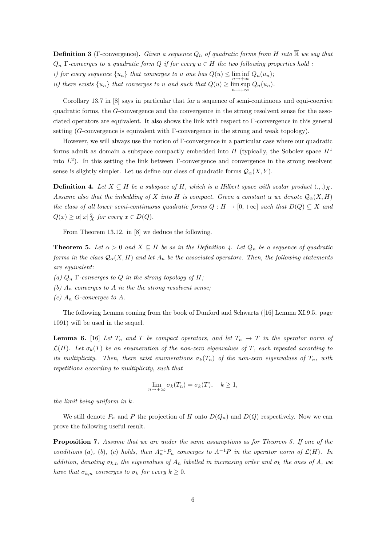**Definition 3** (Γ-convergence). Given a sequence  $Q_n$  of quadratic forms from H into  $\mathbb{R}$  we say that  $Q_n$  Γ-converges to a quadratic form Q if for every  $u \in H$  the two following properties hold:

i) for every sequence  $\{u_n\}$  that converges to u one has  $Q(u) \leq \liminf_{n \to +\infty} Q_n(u_n)$ ;

ii) there exists  $\{u_n\}$  that converges to u and such that  $Q(u) \ge \limsup_{n \to +\infty} Q_n(u_n)$ .

Corollary 13.7 in [8] says in particular that for a sequence of semi-continuous and equi-coercive quadratic forms, the G-convergence and the convergence in the strong resolvent sense for the associated operators are equivalent. It also shows the link with respect to Γ-convergence in this general setting (G-convergence is equivalent with Γ-convergence in the strong and weak topology).

However, we will always use the notion of Γ-convergence in a particular case where our quadratic forms admit as domain a subspace compactly embedded into H (typically, the Sobolev space  $H<sup>1</sup>$ into  $L^2$ ). In this setting the link between Γ-convergence and convergence in the strong resolvent sense is slightly simpler. Let us define our class of quadratic forms  $\mathcal{Q}_{\alpha}(X, Y)$ .

**Definition 4.** Let  $X \subseteq H$  be a subspace of H, which is a Hilbert space with scalar product  $\langle.,.\rangle_X$ . Assume also that the imbedding of X into H is compact. Given a constant  $\alpha$  we denote  $\mathcal{Q}_{\alpha}(X, H)$ the class of all lower semi-continuous quadratic forms  $Q : H \to [0, +\infty]$  such that  $D(Q) \subseteq X$  and  $Q(x) \ge \alpha ||x||_X^2$  for every  $x \in D(Q)$ .

From Theorem 13.12. in [8] we deduce the following.

**Theorem 5.** Let  $\alpha > 0$  and  $X \subseteq H$  be as in the Definition 4. Let  $Q_n$  be a sequence of quadratic forms in the class  $\mathcal{Q}_{\alpha}(X, H)$  and let  $A_n$  be the associated operators. Then, the following statements are equivalent:

- (a)  $Q_n$  Γ-converges to Q in the strong topology of H;
- (b)  $A_n$  converges to A in the the strong resolvent sense;
- (c)  $A_n$  G-converges to A.

The following Lemma coming from the book of Dunford and Schwartz ([16] Lemma XI.9.5. page 1091) will be used in the sequel.

**Lemma 6.** [16] Let  $T_n$  and  $T$  be compact operators, and let  $T_n \to T$  in the operator norm of  $\mathcal{L}(H)$ . Let  $\sigma_k(T)$  be an enumeration of the non-zero eigenvalues of T, each repeated according to its multiplicity. Then, there exist enumerations  $\sigma_k(T_n)$  of the non-zero eigenvalues of  $T_n$ , with repetitions according to multiplicity, such that

$$
\lim_{n \to +\infty} \sigma_k(T_n) = \sigma_k(T), \quad k \ge 1,
$$

the limit being uniform in k.

We still denote  $P_n$  and P the projection of H onto  $D(Q_n)$  and  $D(Q)$  respectively. Now we can prove the following useful result.

Proposition 7. Assume that we are under the same assumptions as for Theorem 5. If one of the conditions (a), (b), (c) holds, then  $A_n^{-1}P_n$  converges to  $A^{-1}P$  in the operator norm of  $\mathcal{L}(H)$ . In addition, denoting  $\sigma_{k,n}$  the eigenvalues of  $A_n$  labelled in increasing order and  $\sigma_k$  the ones of A, we have that  $\sigma_{k,n}$  converges to  $\sigma_k$  for every  $k \geq 0$ .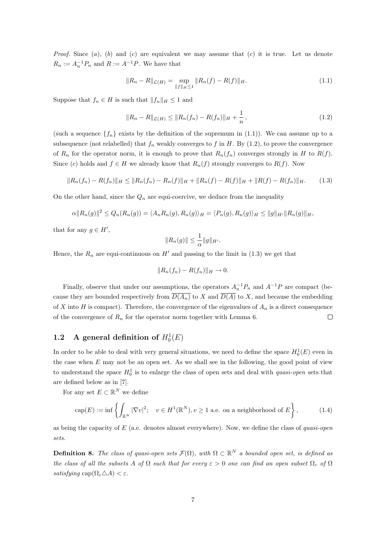*Proof.* Since  $(a)$ ,  $(b)$  and  $(c)$  are equivalent we may assume that  $(c)$  it is true. Let us denote  $R_n := A_n^{-1} P_n$  and  $R := A^{-1} P$ . We have that

$$
||R_n - R||_{\mathcal{L}(H)} = \sup_{||f||_H \le 1} ||R_n(f) - R(f)||_H.
$$
\n(1.1)

Suppose that  $f_n \in H$  is such that  $||f_n||_H \leq 1$  and

$$
||R_n - R||_{\mathcal{L}(H)} \le ||R_n(f_n) - R(f_n)||_H + \frac{1}{n},
$$
\n(1.2)

(such a sequence  $\{f_n\}$  exists by the definition of the supremum in (1.1)). We can assume up to a subsequence (not relabelled) that  $f_n$  weakly converges to f in H. By (1.2), to prove the convergence of  $R_n$  for the operator norm, it is enough to prove that  $R_n(f_n)$  converges strongly in H to  $R(f)$ . Since (c) holds and  $f \in H$  we already know that  $R_n(f)$  strongly converges to  $R(f)$ . Now

$$
||R_n(f_n) - R(f_n)||_H \le ||R_n(f_n) - R_n(f)||_H + ||R_n(f) - R(f)||_H + ||R(f) - R(f_n)||_H.
$$
 (1.3)

On the other hand, since the  $Q_n$  are equi-coercive, we deduce from the inequality

$$
\alpha ||R_n(g)||^2 \le Q_n(R_n(g)) = \langle A_n R_n(g), R_n(g) \rangle_H = \langle P_n(g), R_n(g) \rangle_H \le ||g||_{H'} ||R_n(g)||_H,
$$

that for any  $g \in H'$ ,

$$
||R_n(g)|| \leq \frac{1}{\alpha} ||g||_{H'}.
$$

Hence, the  $R_n$  are equi-continuous on H' and passing to the limit in (1.3) we get that

$$
||R_n(f_n) - R(f_n)||_H \to 0.
$$

Finally, observe that under our assumptions, the operators  $A_n^{-1}P_n$  and  $A^{-1}P$  are compact (because they are bounded respectively from  $\overline{D(A_n)}$  to X and  $\overline{D(A)}$  to X, and because the embedding of X into H is compact). Therefore, the convergence of the eigenvalues of  $A_n$  is a direct consequence of the convergence of  $R_n$  for the operator norm together with Lemma 6.  $\Box$ 

# 1.2 A general definition of  $H_0^1(E)$

In order to be able to deal with very general situations, we need to define the space  $H_0^1(E)$  even in the case when  $E$  may not be an open set. As we shall see in the following, the good point of view to understand the space  $H_0^1$  is to enlarge the class of open sets and deal with *quasi-open* sets that are defined below as in [7].

For any set  $E \subset \mathbb{R}^N$  we define

$$
\operatorname{cap}(E) := \inf \left\{ \int_{\mathbb{R}^N} |\nabla v|^2; \quad v \in H^1(\mathbb{R}^N), v \ge 1 \text{ a.e. on a neighborhood of } E \right\},\tag{1.4}
$$

as being the capacity of  $E$  (a.e. denotes almost everywhere). Now, we define the class of *quasi-open* sets.

**Definition 8.** The class of quasi-open sets  $\mathcal{F}(\Omega)$ , with  $\Omega \subset \mathbb{R}^N$  a bounded open set, is defined as the class of all the subsets A of  $\Omega$  such that for every  $\varepsilon > 0$  one can find an open subset  $\Omega_{\varepsilon}$  of  $\Omega$ satisfying  $\text{cap}(\Omega_{\varepsilon} \triangle A) < \varepsilon$ .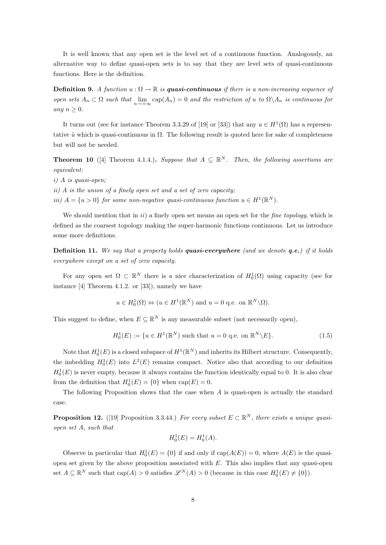It is well known that any open set is the level set of a continuous function. Analogously, an alternative way to define quasi-open sets is to say that they are level sets of quasi-continuous functions. Here is the definition.

**Definition 9.** A function  $u : \Omega \to \mathbb{R}$  is **quasi-continuous** if there is a non-increasing sequence of open sets  $A_n \subset \Omega$  such that  $\lim_{n \to +\infty} \text{cap}(A_n) = 0$  and the restriction of u to  $\Omega \setminus A_n$  is continuous for any  $n \geq 0$ .

It turns out (see for instance Theorem 3.3.29 of [19] or [33]) that any  $u \in H^1(\Omega)$  has a representative  $\tilde{u}$  which is quasi-continuous in  $\Omega$ . The following result is quoted here for sake of completeness but will not be needed.

**Theorem 10** ([4] Theorem 4.1.4.). Suppose that  $A \subseteq \mathbb{R}^N$ . Then, the following assertions are equivalent:

i) A is quasi-open;

ii) A is the union of a finely open set and a set of zero capacity;

iii)  $A = \{u > 0\}$  for some non-negative quasi-continuous function  $u \in H^1(\mathbb{R}^N)$ .

We should mention that in  $ii)$  a finely open set means an open set for the *fine topology*, which is defined as the coarsest topology making the super-harmonic functions continuous. Let us introduce some more definitions.

**Definition 11.** We say that a property holds **quasi-everywhere** (and we denote  $q.e.$ ) if it holds everywhere except on a set of zero capacity.

For any open set  $\Omega \subset \mathbb{R}^N$  there is a nice characterization of  $H_0^1(\Omega)$  using capacity (see for instance [4] Theorem 4.1.2. or [33]), namely we have

$$
u \in H_0^1(\Omega) \Leftrightarrow (u \in H^1(\mathbb{R}^N) \text{ and } u = 0 \text{ q.e. on } \mathbb{R}^N \setminus \Omega).
$$

This suggest to define, when  $E \subseteq \mathbb{R}^N$  is any measurable subset (not necessarily open),

$$
H_0^1(E) := \{ u \in H^1(\mathbb{R}^N) \text{ such that } u = 0 \text{ q.e. on } \mathbb{R}^N \backslash E \}. \tag{1.5}
$$

Note that  $H_0^1(E)$  is a closed subspace of  $H^1(\mathbb{R}^N)$  and inherits its Hilbert structure. Consequently, the imbedding  $H_0^1(E)$  into  $L^2(E)$  remains compact. Notice also that according to our definition  $H_0^1(E)$  is never empty, because it always contains the function identically equal to 0. It is also clear from the definition that  $H_0^1(E) = \{0\}$  when  $cap(E) = 0$ .

The following Proposition shows that the case when  $A$  is quasi-open is actually the standard case.

**Proposition 12.** ([19] Proposition 3.3.44.) For every subset  $E \subset \mathbb{R}^N$ , there exists a unique quasiopen set A, such that

$$
H_0^1(E) = H_0^1(A).
$$

Observe in particular that  $H_0^1(E) = \{0\}$  if and only if  $cap(A(E)) = 0$ , where  $A(E)$  is the quasiopen set given by the above proposition associated with  $E$ . This also implies that any quasi-open set  $A \subseteq \mathbb{R}^N$  such that  $cap(A) > 0$  satisfies  $\mathscr{L}^N(A) > 0$  (because in this case  $H_0^1(E) \neq \{0\}$ ).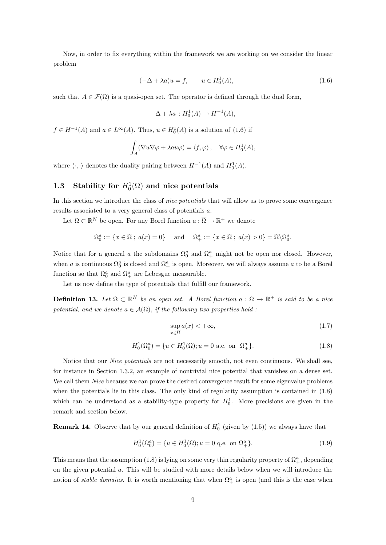Now, in order to fix everything within the framework we are working on we consider the linear problem

$$
(-\Delta + \lambda a)u = f, \qquad u \in H_0^1(A), \tag{1.6}
$$

such that  $A \in \mathcal{F}(\Omega)$  is a quasi-open set. The operator is defined through the dual form,

$$
-\Delta + \lambda a : H_0^1(A) \to H^{-1}(A),
$$

 $f \in H^{-1}(A)$  and  $a \in L^{\infty}(A)$ . Thus,  $u \in H_0^1(A)$  is a solution of  $(1.6)$  if

$$
\int_A (\nabla u \nabla \varphi + \lambda au \varphi) = \langle f, \varphi \rangle, \quad \forall \varphi \in H_0^1(A),
$$

where  $\langle \cdot, \cdot \rangle$  denotes the duality pairing between  $H^{-1}(A)$  and  $H_0^1(A)$ .

# 1.3 Stability for  $H_0^1(\Omega)$  and nice potentials

In this section we introduce the class of nice potentials that will allow us to prove some convergence results associated to a very general class of potentials a.

Let  $\Omega \subset \mathbb{R}^N$  be open. For any Borel function  $a: \overline{\Omega} \to \mathbb{R}^+$  we denote

$$
\Omega_0^a := \{ x \in \overline{\Omega} \; ; \; a(x) = 0 \} \quad \text{and} \quad \Omega_+^a := \{ x \in \overline{\Omega} \; ; \; a(x) > 0 \} = \overline{\Omega} \backslash \Omega_0^a.
$$

Notice that for a general a the subdomains  $\Omega_0^a$  and  $\Omega_+^a$  might not be open nor closed. However, when a is continuous  $\Omega_0^a$  is closed and  $\Omega_+^a$  is open. Moreover, we will always assume a to be a Borel function so that  $\Omega_0^a$  and  $\Omega_+^a$  are Lebesgue measurable.

Let us now define the type of potentials that fulfill our framework.

**Definition 13.** Let  $\Omega \subset \mathbb{R}^N$  be an open set. A Borel function  $a: \overline{\Omega} \to \mathbb{R}^+$  is said to be a nice potential, and we denote  $a \in \mathcal{A}(\Omega)$ , if the following two properties hold :

$$
\sup_{x \in \overline{\Omega}} a(x) < +\infty,\tag{1.7}
$$

$$
H_0^1(\Omega_0^a) = \{ u \in H_0^1(\Omega) ; u = 0 \text{ a.e. on } \Omega_+^a \}. \tag{1.8}
$$

Notice that our Nice potentials are not necessarily smooth, not even continuous. We shall see, for instance in Section 1.3.2, an example of nontrivial nice potential that vanishes on a dense set. We call them *Nice* because we can prove the desired convergence result for some eigenvalue problems when the potentials lie in this class. The only kind of regularity assumption is contained in (1.8) which can be understood as a stability-type property for  $H_0^1$ . More precisions are given in the remark and section below.

**Remark 14.** Observe that by our general definition of  $H_0^1$  (given by  $(1.5)$ ) we always have that

$$
H_0^1(\Omega_0^a) = \{ u \in H_0^1(\Omega) ; u = 0 \text{ q.e. on } \Omega_+^a \}. \tag{1.9}
$$

This means that the assumption (1.8) is lying on some very thin regularity property of  $\Omega^a_+$ , depending on the given potential a. This will be studied with more details below when we will introduce the notion of *stable domains*. It is worth mentioning that when  $\Omega^a_+$  is open (and this is the case when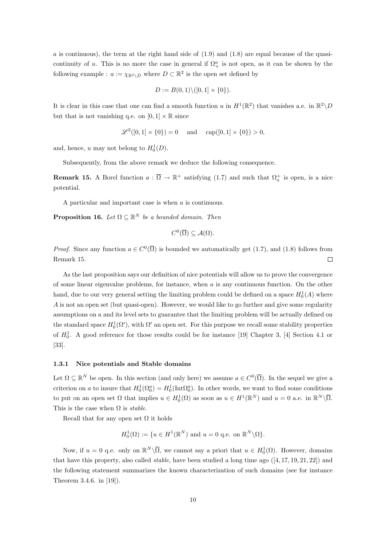a is continuous), the term at the right hand side of  $(1.9)$  and  $(1.8)$  are equal because of the quasicontinuity of u. This is no more the case in general if  $\Omega^a_+$  is not open, as it can be shown by the following example :  $a := \chi_{\mathbb{R}^2 \setminus D}$  where  $D \subset \mathbb{R}^2$  is the open set defined by

$$
D := B(0,1) \setminus ([0,1] \times \{0\}).
$$

It is clear in this case that one can find a smooth function u in  $H^1(\mathbb{R}^2)$  that vanishes a.e. in  $\mathbb{R}^2 \setminus D$ but that is not vanishing q.e. on  $[0, 1] \times \mathbb{R}$  since

$$
\mathscr{L}^2([0,1] \times \{0\}) = 0
$$
 and  $\text{cap}([0,1] \times \{0\}) > 0$ ,

and, hence, u may not belong to  $H_0^1(D)$ .

Subsequently, from the above remark we deduce the following consequence.

**Remark 15.** A Borel function  $a: \overline{\Omega} \to \mathbb{R}^+$  satisfying (1.7) and such that  $\Omega_a^+$  is open, is a nice potential.

A particular and important case is when a is continuous.

**Proposition 16.** Let  $\Omega \subseteq \mathbb{R}^N$  be a bounded domain. Then

$$
C^0(\overline{\Omega})\subseteq \mathcal{A}(\Omega).
$$

*Proof.* Since any function  $a \in C^0(\overline{\Omega})$  is bounded we automatically get (1.7), and (1.8) follows from Remark 15.  $\Box$ 

As the last proposition says our definition of nice potentials will allow us to prove the convergence of some linear eigenvalue problems, for instance, when  $a$  is any continuous function. On the other hand, due to our very general setting the limiting problem could be defined on a space  $H_0^1(A)$  where A is not an open set (but quasi-open). However, we would like to go further and give some regularity assumptions on a and its level sets to guarantee that the limiting problem will be actually defined on the standard space  $H_0^1(\Omega')$ , with  $\Omega'$  an open set. For this purpose we recall some stability properties of  $H_0^1$ . A good reference for those results could be for instance [19] Chapter 3, [4] Section 4.1 or [33].

### 1.3.1 Nice potentials and Stable domains

Let  $\Omega \subseteq \mathbb{R}^N$  be open. In this section (and only here) we assume  $a \in C^0(\overline{\Omega})$ . In the sequel we give a criterion on a to insure that  $H_0^1(\Omega_0^a) = H_0^1(\text{Int}\Omega_0^a)$ . In other words, we want to find some conditions to put on an open set  $\Omega$  that implies  $u \in H_0^1(\Omega)$  as soon as  $u \in H^1(\mathbb{R}^N)$  and  $u = 0$  a.e. in  $\mathbb{R}^N \setminus \overline{\Omega}$ . This is the case when  $\Omega$  is *stable*.

Recall that for any open set  $\Omega$  it holds

$$
H_0^1(\Omega) := \{ u \in H^1(\mathbb{R}^N) \text{ and } u = 0 \text{ q.e. on } \mathbb{R}^N \backslash \Omega \}.
$$

Now, if  $u = 0$  q.e. only on  $\mathbb{R}^N \setminus \overline{\Omega}$ , we cannot say a priori that  $u \in H_0^1(\Omega)$ . However, domains that have this property, also called *stable*, have been studied a long time ago  $([4, 17, 19, 21, 22])$  and the following statement summarizes the known characterization of such domains (see for instance Theorem 3.4.6. in [19]).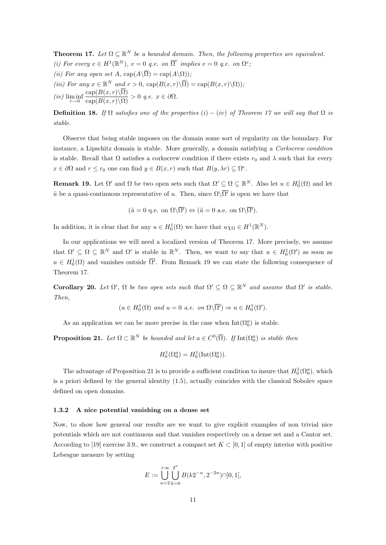**Theorem 17.** Let  $\Omega \subseteq \mathbb{R}^N$  be a bounded domain. Then, the following properties are equivalent. (i) For every  $v \in H^1(\mathbb{R}^N)$ ,  $v = 0$  q.e. on  $\overline{\Omega}^c$  implies  $v = 0$  q.e. on  $\Omega^c$ ;

- (ii) For any open set A,  $cap(A\setminus\overline{\Omega}) = cap(A\setminus\Omega)$ ;
- (iii) For any  $x \in \mathbb{R}^N$  and  $r > 0$ ,  $\text{cap}(B(x,r)\backslash\overline{\Omega}) = \text{cap}(B(x,r)\backslash\Omega)),$
- $(iv)$   $\liminf_{r\to 0}$  $\frac{\text{cap}(B(x,r)\setminus\Omega)}{\text{cap}(B(x,r)\setminus\Omega)} > 0$  q.e.  $x \in \partial\Omega$ .

**Definition 18.** If  $\Omega$  satisfies one of the properties (i) – (iv) of Theorem 17 we will say that  $\Omega$  is stable.

Observe that being stable imposes on the domain some sort of regularity on the boundary. For instance, a Lipschitz domain is stable. More generally, a domain satisfying a Corkscrew condition is stable. Recall that  $\Omega$  satisfies a corkscrew condition if there exists  $r_0$  and  $\lambda$  such that for every  $x \in \partial\Omega$  and  $r \leq r_0$  one can find  $y \in B(x,r)$  such that  $B(y, \lambda r) \subseteq \Omega^c$ .

**Remark 19.** Let  $\Omega'$  and  $\Omega$  be two open sets such that  $\Omega' \subseteq \Omega \subseteq \mathbb{R}^N$ . Also let  $u \in H_0^1(\Omega)$  and let  $\tilde{u}$  be a quasi-continuous representative of u. Then, since  $\Omega\backslash\overline{\Omega'}$  is open we have that

$$
(\tilde{u} = 0 \text{ q.e. on } \Omega \backslash \overline{\Omega'}) \Leftrightarrow (\tilde{u} = 0 \text{ a.e. on } \Omega \backslash \overline{\Omega'}).
$$

In addition, it is clear that for any  $u \in H_0^1(\Omega)$  we have that  $u\chi_{\Omega} \in H^1(\mathbb{R}^N)$ .

In our applications we will need a localized version of Theorem 17. More precisely, we assume that  $\Omega' \subseteq \Omega \subseteq \mathbb{R}^N$  and  $\Omega'$  is stable in  $\mathbb{R}^N$ . Then, we want to say that  $u \in H_0^1(\Omega')$  as soon as  $u \in H_0^1(\Omega)$  and vanishes outside  $\overline{\Omega'}$ . From Remark 19 we can state the following consequence of Theorem 17.

**Corollary 20.** Let  $\Omega'$ ,  $\Omega$  be two open sets such that  $\Omega' \subseteq \Omega \subseteq \mathbb{R}^N$  and assume that  $\Omega'$  is stable. Then,

$$
(u \in H_0^1(\Omega) \text{ and } u = 0 \text{ a.e. on } \Omega \backslash \overline{\Omega'}) \Rightarrow u \in H_0^1(\Omega').
$$

As an application we can be more precise in the case when  $Int(\Omega_0^a)$  is stable.

**Proposition 21.** Let  $\Omega \subset \mathbb{R}^N$  be bounded and let  $a \in C^0(\overline{\Omega})$ . If  $\text{Int}(\Omega_0^a)$  is stable then

$$
H_0^1(\Omega_0^a) = H_0^1(\text{Int}(\Omega_0^a)).
$$

The advantage of Proposition 21 is to provide a sufficient condition to insure that  $H_0^1(\Omega_0^a)$ , which is a priori defined by the general identity (1.5), actually coincides with the classical Sobolev space defined on open domains.

#### 1.3.2 A nice potential vanishing on a dense set

Now, to show how general our results are we want to give explicit examples of non trivial nice potentials which are not continuous and that vanishes respectively on a dense set and a Cantor set. According to [19] exercise 3.9., we construct a compact set  $K \subset [0,1]$  of empty interior with positive Lebesgue measure by setting

$$
E := \bigcup_{n=2}^{+\infty} \bigcup_{k=0}^{2^n} B(k2^{-n}, 2^{-2n}) \cap ]0, 1[,
$$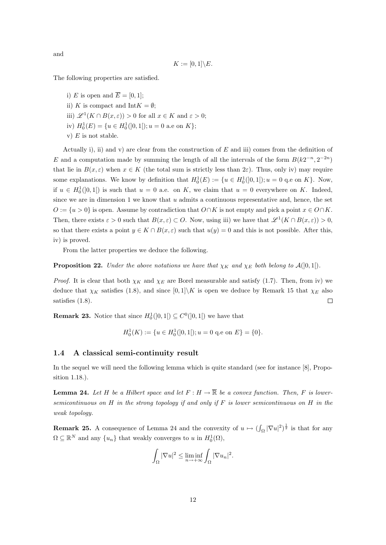and

$$
K := [0,1] \backslash E.
$$

The following properties are satisfied.

i) E is open and  $\overline{E} = [0, 1];$ 

ii) K is compact and Int $K = \emptyset$ ;

iii)  $\mathscr{L}^1(K \cap B(x, \varepsilon)) > 0$  for all  $x \in K$  and  $\varepsilon > 0$ ;

iv)  $H_0^1(E) = {u \in H_0^1(]0, 1[); u = 0 \text{ a.e on } K};$ 

v)  $E$  is not stable.

Actually i), ii) and v) are clear from the construction of  $E$  and iii) comes from the definition of E and a computation made by summing the length of all the intervals of the form  $B(k2^{-n}, 2^{-2n})$ that lie in  $B(x, \varepsilon)$  when  $x \in K$  (the total sum is strictly less than  $2\varepsilon$ ). Thus, only iv) may require some explanations. We know by definition that  $H_0^1(E) := \{u \in H_0^1(]0,1[); u = 0 \text{ q.e on } K\}.$  Now, if  $u \in H_0^1(]0,1[)$  is such that  $u = 0$  a.e. on K, we claim that  $u = 0$  everywhere on K. Indeed, since we are in dimension  $1$  we know that  $u$  admits a continuous representative and, hence, the set  $O := \{u > 0\}$  is open. Assume by contradiction that  $O \cap K$  is not empty and pick a point  $x \in O \cap K$ . Then, there exists  $\varepsilon > 0$  such that  $B(x, \varepsilon) \subset O$ . Now, using iii) we have that  $\mathscr{L}^1(K \cap B(x, \varepsilon)) > 0$ , so that there exists a point  $y \in K \cap B(x, \varepsilon)$  such that  $u(y) = 0$  and this is not possible. After this, iv) is proved.

From the latter properties we deduce the following.

**Proposition 22.** Under the above notations we have that  $\chi_K$  and  $\chi_E$  both belong to  $\mathcal{A}([0,1])$ .

*Proof.* It is clear that both  $\chi_K$  and  $\chi_E$  are Borel measurable and satisfy (1.7). Then, from iv) we deduce that  $\chi_K$  satisfies (1.8), and since  $[0,1]\backslash K$  is open we deduce by Remark 15 that  $\chi_E$  also satisfies (1.8).  $\Box$ 

**Remark 23.** Notice that since  $H_0^1(]0,1[) \subseteq C^0(]0,1[)$  we have that

$$
H_0^1(K) := \{ u \in H_0^1([0,1[); u = 0 \text{ q.e on } E \} = \{0\}.
$$

#### 1.4 A classical semi-continuity result

In the sequel we will need the following lemma which is quite standard (see for instance [8], Proposition 1.18.).

**Lemma 24.** Let H be a Hilbert space and let  $F : H \to \overline{\mathbb{R}}$  be a convex function. Then, F is lowersemicontinuous on H in the strong topology if and only if F is lower semicontinuous on H in the weak topology.

**Remark 25.** A consequence of Lemma 24 and the convexity of  $u \mapsto (\int_{\Omega} |\nabla u|^2)^{\frac{1}{2}}$  is that for any  $\Omega \subseteq \mathbb{R}^N$  and any  $\{u_n\}$  that weakly converges to u in  $H_0^1(\Omega)$ ,

$$
\int_{\Omega} |\nabla u|^2 \le \liminf_{n \to +\infty} \int_{\Omega} |\nabla u_n|^2.
$$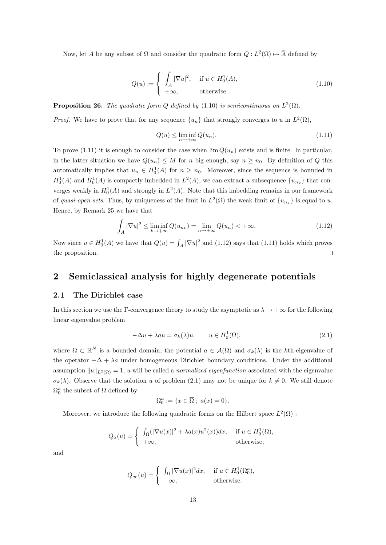Now, let A be any subset of  $\Omega$  and consider the quadratic form  $Q: L^2(\Omega) \mapsto \overline{\mathbb{R}}$  defined by

$$
Q(u) := \begin{cases} \int_A |\nabla u|^2, & \text{if } u \in H_0^1(A), \\ +\infty, & \text{otherwise.} \end{cases}
$$
 (1.10)

**Proposition 26.** The quadratic form Q defined by (1.10) is semicontinuous on  $L^2(\Omega)$ .

*Proof.* We have to prove that for any sequence  $\{u_n\}$  that strongly converges to u in  $L^2(\Omega)$ ,

$$
Q(u) \le \liminf_{n \to +\infty} Q(u_n). \tag{1.11}
$$

To prove (1.11) it is enough to consider the case when  $\lim Q(u_n)$  exists and is finite. In particular, in the latter situation we have  $Q(u_n) \leq M$  for n big enough, say  $n \geq n_0$ . By definition of Q this automatically implies that  $u_n \in H_0^1(A)$  for  $n \geq n_0$ . Moreover, since the sequence is bounded in  $H_0^1(A)$  and  $H_0^1(A)$  is compactly imbedded in  $L^2(A)$ , we can extract a subsequence  $\{u_{n_k}\}\$  that converges weakly in  $H_0^1(A)$  and strongly in  $L^2(A)$ . Note that this imbedding remains in our framework of quasi-open sets. Thus, by uniqueness of the limit in  $L^2(\Omega)$  the weak limit of  $\{u_{n_k}\}$  is equal to u. Hence, by Remark 25 we have that

$$
\int_{A} |\nabla u|^2 \le \liminf_{k \to +\infty} Q(u_{n_k}) = \lim_{n \to +\infty} Q(u_n) < +\infty,\tag{1.12}
$$

Now since  $u \in H_0^1(A)$  we have that  $Q(u) = \int_A |\nabla u|^2$  and  $(1.12)$  says that  $(1.11)$  holds which proves the proposition.  $\Box$ 

### 2 Semiclassical analysis for highly degenerate potentials

### 2.1 The Dirichlet case

In this section we use the Γ-convergence theory to study the asymptotic as  $\lambda \to +\infty$  for the following linear eigenvalue problem

$$
-\Delta u + \lambda au = \sigma_k(\lambda)u, \qquad u \in H_0^1(\Omega), \tag{2.1}
$$

where  $\Omega \subset \mathbb{R}^N$  is a bounded domain, the potential  $a \in \mathcal{A}(\Omega)$  and  $\sigma_k(\lambda)$  is the kth-eigenvalue of the operator  $-\Delta + \lambda a$  under homogeneous Dirichlet boundary conditions. Under the additional assumption  $||u||_{L^2(\Omega)} = 1$ , u will be called a normalized eigenfunction associated with the eigenvalue  $\sigma_k(\lambda)$ . Observe that the solution u of problem (2.1) may not be unique for  $k \neq 0$ . We still denote  $\Omega_0^a$  the subset of  $\Omega$  defined by

$$
\Omega_0^a := \{ x \in \overline{\Omega} \; ; \; a(x) = 0 \}.
$$

Moreover, we introduce the following quadratic forms on the Hilbert space  $L^2(\Omega)$ :

$$
Q_{\lambda}(u) = \begin{cases} \int_{\Omega} (|\nabla u(x)|^2 + \lambda a(x)u^2(x))dx, & \text{if } u \in H_0^1(\Omega), \\ +\infty, & \text{otherwise,} \end{cases}
$$

and

$$
Q_{\infty}(u) = \begin{cases} \int_{\Omega} |\nabla u(x)|^2 dx, & \text{if } u \in H_0^1(\Omega_0^a), \\ +\infty, & \text{otherwise.} \end{cases}
$$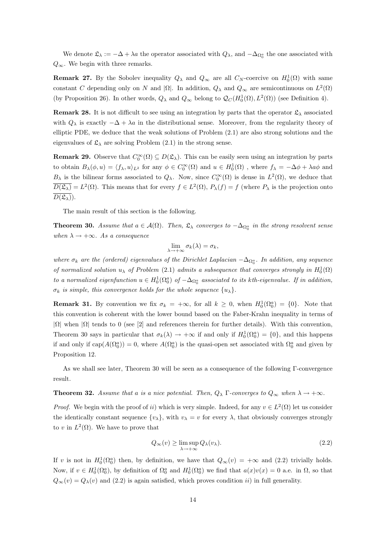We denote  $\mathfrak{L}_{\lambda} := -\Delta + \lambda a$  the operator associated with  $Q_{\lambda}$ , and  $-\Delta_{\Omega_0^a}$  the one associated with  $Q_{\infty}$ . We begin with three remarks.

**Remark 27.** By the Sobolev inequality  $Q_{\lambda}$  and  $Q_{\infty}$  are all  $C_N$ -coercive on  $H_0^1(\Omega)$  with same constant C depending only on N and  $|\Omega|$ . In addition,  $Q_{\lambda}$  and  $Q_{\infty}$  are semicontinuous on  $L^2(\Omega)$ (by Proposition 26). In other words,  $Q_{\lambda}$  and  $Q_{\infty}$  belong to  $\mathcal{Q}_C(H_0^1(\Omega), L^2(\Omega))$  (see Definition 4).

**Remark 28.** It is not difficult to see using an integration by parts that the operator  $\mathfrak{L}_{\lambda}$  associated with  $Q_{\lambda}$  is exactly  $-\Delta + \lambda a$  in the distributional sense. Moreover, from the regularity theory of elliptic PDE, we deduce that the weak solutions of Problem (2.1) are also strong solutions and the eigenvalues of  $\mathfrak{L}_{\lambda}$  are solving Problem (2.1) in the strong sense.

**Remark 29.** Observe that  $C_0^{\infty}(\Omega) \subseteq D(\mathfrak{L}_{\lambda})$ . This can be easily seen using an integration by parts to obtain  $B_\lambda(\phi, u) = \langle f_\lambda, u \rangle_{L^2}$  for any  $\phi \in C_0^\infty(\Omega)$  and  $u \in H_0^1(\Omega)$ , where  $f_\lambda = -\Delta \phi + \lambda a\phi$  and  $B_\lambda$  is the bilinear forms associated to  $Q_\lambda$ . Now, since  $C_0^{\infty}(\Omega)$  is dense in  $L^2(\Omega)$ , we deduce that  $\overline{D(\mathfrak{L}_{\lambda})} = L^2(\Omega)$ . This means that for every  $f \in L^2(\Omega)$ ,  $P_{\lambda}(f) = f$  (where  $P_{\lambda}$  is the projection onto  $\overline{D(\mathfrak{L}_\lambda)}$ .

The main result of this section is the following.

**Theorem 30.** Assume that  $a \in \mathcal{A}(\Omega)$ . Then,  $\mathfrak{L}_{\lambda}$  converges to  $-\Delta_{\Omega_0^a}$  in the strong resolvent sense when  $\lambda \rightarrow +\infty$ . As a consequence

$$
\lim_{\lambda \to +\infty} \sigma_k(\lambda) = \sigma_k,
$$

where  $\sigma_k$  are the (ordered) eigenvalues of the Dirichlet Laplacian  $-\Delta_{\Omega_0^a}$ . In addition, any sequence of normalized solution  $u_{\lambda}$  of Problem (2.1) admits a subsequence that converges strongly in  $H_0^1(\Omega)$ to a normalized eigenfunction  $u \in H_0^1(\Omega_0^a)$  of  $-\Delta_{\Omega_0^a}$  associated to its kth-eigenvalue. If in addition,  $\sigma_k$  is simple, this convergence holds for the whole sequence  $\{u_\lambda\}.$ 

**Remark 31.** By convention we fix  $\sigma_k = +\infty$ , for all  $k \geq 0$ , when  $H_0^1(\Omega_0^a) = \{0\}$ . Note that this convention is coherent with the lower bound based on the Faber-Krahn inequality in terms of  $|\Omega|$  when  $|\Omega|$  tends to 0 (see [2] and references therein for further details). With this convention, Theorem 30 says in particular that  $\sigma_k(\lambda) \to +\infty$  if and only if  $H_0^1(\Omega_0^a) = \{0\}$ , and this happens if and only if  $cap(A(\Omega_0^a)) = 0$ , where  $A(\Omega_0^a)$  is the quasi-open set associated with  $\Omega_0^a$  and given by Proposition 12.

As we shall see later, Theorem 30 will be seen as a consequence of the following Γ-convergence result.

**Theorem 32.** Assume that a is a nice potential. Then,  $Q_{\lambda}$  Γ-converges to  $Q_{\infty}$  when  $\lambda \to +\infty$ .

*Proof.* We begin with the proof of ii) which is very simple. Indeed, for any  $v \in L^2(\Omega)$  let us consider the identically constant sequence  $\{v_{\lambda}\}\,$ , with  $v_{\lambda} = v$  for every  $\lambda$ , that obviously converges strongly to v in  $L^2(\Omega)$ . We have to prove that

$$
Q_{\infty}(v) \ge \limsup_{\lambda \to +\infty} Q_{\lambda}(v_{\lambda}).
$$
\n(2.2)

If v is not in  $H_0^1(\Omega_0^a)$  then, by definition, we have that  $Q_\infty(v) = +\infty$  and (2.2) trivially holds. Now, if  $v \in H_0^1(\Omega_0^a)$ , by definition of  $\Omega_0^a$  and  $H_0^1(\Omega_0^a)$  we find that  $a(x)v(x) = 0$  a.e. in  $\Omega$ , so that  $Q_{\infty}(v) = Q_{\lambda}(v)$  and (2.2) is again satisfied, which proves condition *ii*) in full generality.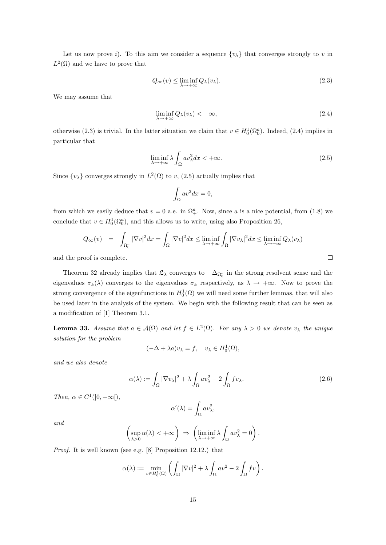Let us now prove i). To this aim we consider a sequence  $\{v_{\lambda}\}\$  that converges strongly to v in  $L^2(\Omega)$  and we have to prove that

$$
Q_{\infty}(v) \le \liminf_{\lambda \to +\infty} Q_{\lambda}(v_{\lambda}).
$$
\n(2.3)

We may assume that

$$
\liminf_{\lambda \to +\infty} Q_{\lambda}(v_{\lambda}) < +\infty, \tag{2.4}
$$

otherwise (2.3) is trivial. In the latter situation we claim that  $v \in H_0^1(\Omega_0^a)$ . Indeed, (2.4) implies in particular that

$$
\liminf_{\lambda \to +\infty} \lambda \int_{\Omega} av_{\lambda}^2 dx < +\infty. \tag{2.5}
$$

Since  $\{v_{\lambda}\}\)$  converges strongly in  $L^2(\Omega)$  to v, (2.5) actually implies that

$$
\int_{\Omega} av^2 dx = 0,
$$

from which we easily deduce that  $v = 0$  a.e. in  $\Omega^a_+$ . Now, since a is a nice potential, from (1.8) we conclude that  $v \in H_0^1(\Omega_0^a)$ , and this allows us to write, using also Proposition 26,

$$
Q_{\infty}(v) = \int_{\Omega_0^a} |\nabla v|^2 dx = \int_{\Omega} |\nabla v|^2 dx \le \liminf_{\lambda \to +\infty} \int_{\Omega} |\nabla v_{\lambda}|^2 dx \le \liminf_{\lambda \to +\infty} Q_{\lambda}(v_{\lambda})
$$

and the proof is complete.

Theorem 32 already implies that  $\mathfrak{L}_{\lambda}$  converges to  $-\Delta_{\Omega_0^a}$  in the strong resolvent sense and the eigenvalues  $\sigma_k(\lambda)$  converges to the eigenvalues  $\sigma_k$  respectively, as  $\lambda \to +\infty$ . Now to prove the strong convergence of the eigenfunctions in  $H_0^1(\Omega)$  we will need some further lemmas, that will also be used later in the analysis of the system. We begin with the following result that can be seen as a modification of [1] Theorem 3.1.

**Lemma 33.** Assume that  $a \in \mathcal{A}(\Omega)$  and let  $f \in L^2(\Omega)$ . For any  $\lambda > 0$  we denote  $v_\lambda$  the unique solution for the problem

$$
(-\Delta + \lambda a)v_{\lambda} = f, \quad v_{\lambda} \in H_0^1(\Omega),
$$

and we also denote

$$
\alpha(\lambda) := \int_{\Omega} |\nabla v_{\lambda}|^2 + \lambda \int_{\Omega} av_{\lambda}^2 - 2 \int_{\Omega} fv_{\lambda}.
$$
 (2.6)

Then,  $\alpha \in C^1([0, +\infty])$ ,

$$
\alpha'(\lambda) = \int_{\Omega} av_{\lambda}^2,
$$

and

$$
\left(\sup_{\lambda>0} \alpha(\lambda) < +\infty\right) \Rightarrow \left(\liminf_{\lambda \to +\infty} \lambda \int_{\Omega} av_{\lambda}^2 = 0\right).
$$

Proof. It is well known (see e.g. [8] Proposition 12.12.) that

$$
\alpha(\lambda) := \min_{v \in H_0^1(\Omega)} \left( \int_{\Omega} |\nabla v|^2 + \lambda \int_{\Omega} av^2 - 2 \int_{\Omega} fv \right).
$$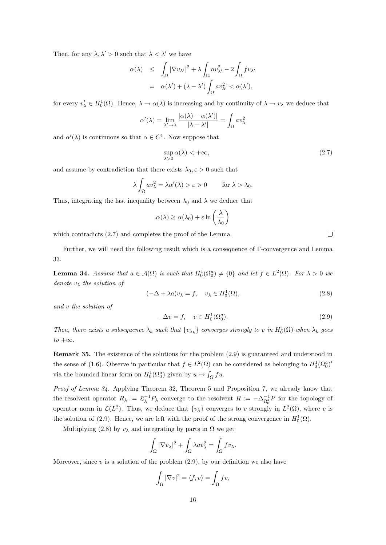Then, for any  $\lambda, \lambda' > 0$  such that  $\lambda < \lambda'$  we have

$$
\alpha(\lambda) \leq \int_{\Omega} |\nabla v_{\lambda'}|^2 + \lambda \int_{\Omega} av_{\lambda'}^2 - 2 \int_{\Omega} fv_{\lambda'}\n= \alpha(\lambda') + (\lambda - \lambda') \int_{\Omega} av_{\lambda'}^2 < \alpha(\lambda'),
$$

for every  $v'_\lambda \in H_0^1(\Omega)$ . Hence,  $\lambda \to \alpha(\lambda)$  is increasing and by continuity of  $\lambda \to v_\lambda$  we deduce that

$$
\alpha'(\lambda) = \lim_{\lambda' \to \lambda} \frac{|\alpha(\lambda) - \alpha(\lambda')|}{|\lambda - \lambda'|} = \int_{\Omega} av_{\lambda}^2
$$

and  $\alpha'(\lambda)$  is continuous so that  $\alpha \in C^1$ . Now suppose that

$$
\sup_{\lambda>0} \alpha(\lambda) < +\infty,\tag{2.7}
$$

and assume by contradiction that there exists  $\lambda_0, \varepsilon > 0$  such that

$$
\lambda \int_{\Omega} av_{\lambda}^2 = \lambda \alpha'(\lambda) > \varepsilon > 0 \quad \text{for } \lambda > \lambda_0.
$$

Thus, integrating the last inequality between  $\lambda_0$  and  $\lambda$  we deduce that

$$
\alpha(\lambda) \ge \alpha(\lambda_0) + \varepsilon \ln\left(\frac{\lambda}{\lambda_0}\right)
$$

which contradicts  $(2.7)$  and completes the proof of the Lemma.

Further, we will need the following result which is a consequence of Γ-convergence and Lemma 33.

**Lemma 34.** Assume that  $a \in \mathcal{A}(\Omega)$  is such that  $H_0^1(\Omega_0^a) \neq \{0\}$  and let  $f \in L^2(\Omega)$ . For  $\lambda > 0$  we denote  $v_{\lambda}$  the solution of

$$
(-\Delta + \lambda a)v_{\lambda} = f, \quad v_{\lambda} \in H_0^1(\Omega), \tag{2.8}
$$

and v the solution of

$$
-\Delta v = f, \quad v \in H_0^1(\Omega_0^a). \tag{2.9}
$$

Then, there exists a subsequence  $\lambda_k$  such that  $\{v_{\lambda_k}\}$  converges strongly to v in  $H_0^1(\Omega)$  when  $\lambda_k$  goes  $to +\infty$ .

Remark 35. The existence of the solutions for the problem (2.9) is guaranteed and understood in the sense of (1.6). Observe in particular that  $f \in L^2(\Omega)$  can be considered as belonging to  $H_0^1(\Omega_0^a)'$ via the bounded linear form on  $H_0^1(\Omega_0^a)$  given by  $u \mapsto \int_{\Omega} f u$ .

Proof of Lemma 34. Applying Theorem 32, Theorem 5 and Proposition 7, we already know that the resolvent operator  $R_{\lambda} := \mathcal{L}_{\lambda}^{-1} P_{\lambda}$  converge to the resolvent  $R := -\Delta_{\Omega_0^a}^{-1} P$  for the topology of operator norm in  $\mathcal{L}(L^2)$ . Thus, we deduce that  $\{v_\lambda\}$  converges to v strongly in  $L^2(\Omega)$ , where v is the solution of (2.9). Hence, we are left with the proof of the strong convergence in  $H_0^1(\Omega)$ .

Multiplying (2.8) by  $v_{\lambda}$  and integrating by parts in  $\Omega$  we get

$$
\int_{\Omega} |\nabla v_{\lambda}|^2 + \int_{\Omega} \lambda a v_{\lambda}^2 = \int_{\Omega} f v_{\lambda}.
$$

Moreover, since  $v$  is a solution of the problem  $(2.9)$ , by our definition we also have

$$
\int_{\Omega} |\nabla v|^2 = \langle f, v \rangle = \int_{\Omega} fv,
$$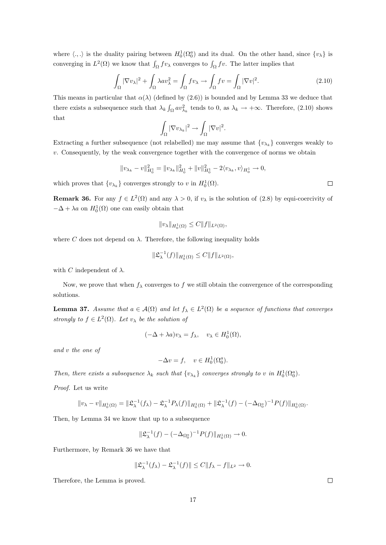where  $\langle .,.\rangle$  is the duality pairing between  $H_0^1(\Omega_0^a)$  and its dual. On the other hand, since  $\{v_\lambda\}$  is converging in  $L^2(\Omega)$  we know that  $\int_{\Omega} f v_{\lambda}$  converges to  $\int_{\Omega} f v$ . The latter implies that

$$
\int_{\Omega} |\nabla v_{\lambda}|^2 + \int_{\Omega} \lambda a v_{\lambda}^2 = \int_{\Omega} f v_{\lambda} \to \int_{\Omega} f v = \int_{\Omega} |\nabla v|^2.
$$
\n(2.10)

This means in particular that  $\alpha(\lambda)$  (defined by (2.6)) is bounded and by Lemma 33 we deduce that there exists a subsequence such that  $\lambda_k \int_{\Omega} av_{\lambda_k}^2$  tends to 0, as  $\lambda_k \to +\infty$ . Therefore, (2.10) shows that

$$
\int_{\Omega} |\nabla v_{\lambda_k}|^2 \to \int_{\Omega} |\nabla v|^2.
$$

Extracting a further subsequence (not relabelled) me may assume that  $\{v_{\lambda_k}\}$  converges weakly to  $v.$  Consequently, by the weak convergence together with the convergence of norms we obtain

$$
||v_{\lambda_k} - v||_{H_0^1}^2 = ||v_{\lambda_k}||_{H_0^1}^2 + ||v||_{H_0^1}^2 - 2\langle v_{\lambda_k}, v \rangle_{H_0^1} \to 0,
$$

which proves that  $\{v_{\lambda_k}\}\$  converges strongly to v in  $H_0^1(\Omega)$ .

**Remark 36.** For any  $f \in L^2(\Omega)$  and any  $\lambda > 0$ , if  $v_\lambda$  is the solution of (2.8) by equi-coercivity of  $-\Delta + \lambda a$  on  $H_0^1(\Omega)$  one can easily obtain that

$$
||v_{\lambda}||_{H_0^1(\Omega)} \leq C||f||_{L^2(\Omega)},
$$

where C does not depend on  $\lambda$ . Therefore, the following inequality holds

$$
\|\mathfrak{L}_{\lambda}^{-1}(f)\|_{H_0^1(\Omega)} \leq C \|f\|_{L^2(\Omega)},
$$

with C independent of  $\lambda$ .

Now, we prove that when  $f_{\lambda}$  converges to f we still obtain the convergence of the corresponding solutions.

**Lemma 37.** Assume that  $a \in \mathcal{A}(\Omega)$  and let  $f_{\lambda} \in L^2(\Omega)$  be a sequence of functions that converges strongly to  $f \in L^2(\Omega)$ . Let  $v_\lambda$  be the solution of

$$
(-\Delta + \lambda a)v_{\lambda} = f_{\lambda}, \quad v_{\lambda} \in H_0^1(\Omega),
$$

and v the one of

$$
-\Delta v = f, \quad v \in H_0^1(\Omega_0^a).
$$

Then, there exists a subsequence  $\lambda_k$  such that  $\{v_{\lambda_k}\}\$  converges strongly to v in  $H_0^1(\Omega_0^a)$ .

Proof. Let us write

$$
||v_{\lambda} - v||_{H_0^1(\Omega)} = ||\mathfrak{L}_{\lambda}^{-1}(f_{\lambda}) - \mathfrak{L}_{\lambda}^{-1}P_{\lambda}(f)||_{H_0^1(\Omega)} + ||\mathfrak{L}_{\lambda}^{-1}(f) - (-\Delta_{\Omega_0^a})^{-1}P(f)||_{H_0^1(\Omega)}.
$$

Then, by Lemma 34 we know that up to a subsequence

$$
\|\mathfrak{L}_{\lambda}^{-1}(f) - (-\Delta_{\Omega_0^a})^{-1}P(f)\|_{H_0^1(\Omega)} \to 0.
$$

Furthermore, by Remark 36 we have that

$$
\|\mathfrak{L}_{\lambda}^{-1}(f_{\lambda})-\mathfrak{L}_{\lambda}^{-1}(f)\|\leq C\|f_{\lambda}-f\|_{L^{2}}\to 0.
$$

Therefore, the Lemma is proved.

 $\Box$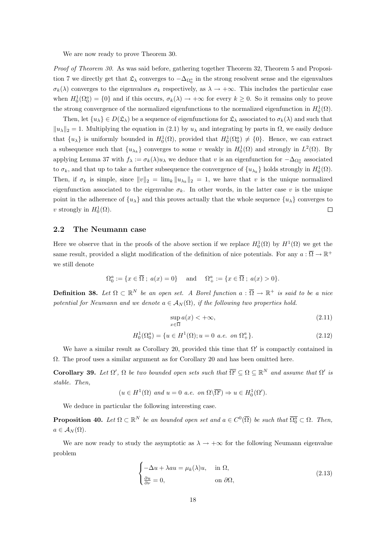We are now ready to prove Theorem 30.

Proof of Theorem 30. As was said before, gathering together Theorem 32, Theorem 5 and Proposition 7 we directly get that  $\mathfrak{L}_{\lambda}$  converges to  $-\Delta_{\Omega_0^a}$  in the strong resolvent sense and the eigenvalues  $\sigma_k(\lambda)$  converges to the eigenvalues  $\sigma_k$  respectively, as  $\lambda \to +\infty$ . This includes the particular case when  $H_0^1(\Omega_0^a) = \{0\}$  and if this occurs,  $\sigma_k(\lambda) \to +\infty$  for every  $k \geq 0$ . So it remains only to prove the strong convergence of the normalized eigenfunctions to the normalized eigenfunction in  $H_0^1(\Omega)$ .

Then, let  $\{u_\lambda\} \in D(\mathfrak{L}_\lambda)$  be a sequence of eigenfunctions for  $\mathfrak{L}_\lambda$  associated to  $\sigma_k(\lambda)$  and such that  $||u_\lambda||_2 = 1$ . Multiplying the equation in (2.1) by  $u_\lambda$  and integrating by parts in  $\Omega$ , we easily deduce that  $\{u_{\lambda}\}\$ is uniformly bounded in  $H_0^1(\Omega)$ , provided that  $H_0^1(\Omega_0^a) \neq \{0\}$ . Hence, we can extract a subsequence such that  $\{u_{\lambda_k}\}\$ converges to some v weakly in  $H_0^1(\Omega)$  and strongly in  $L^2(\Omega)$ . By applying Lemma 37 with  $f_\lambda := \sigma_k(\lambda)u_\lambda$  we deduce that v is an eigenfunction for  $-\Delta_{\Omega_0^a}$  associated to  $\sigma_k$ , and that up to take a further subsequence the convergence of  $\{u_{\lambda_k}\}\)$  holds strongly in  $H_0^1(\Omega)$ . Then, if  $\sigma_k$  is simple, since  $||v||_2 = \lim_k ||u_{\lambda_k}||_2 = 1$ , we have that v is the unique normalized eigenfunction associated to the eigenvalue  $\sigma_k$ . In other words, in the latter case v is the unique point in the adherence of  $\{u_{\lambda}\}\$  and this proves actually that the whole sequence  $\{u_{\lambda}\}\$ converges to v strongly in  $H_0^1(\Omega)$ .  $\Box$ 

### 2.2 The Neumann case

Here we observe that in the proofs of the above section if we replace  $H_0^1(\Omega)$  by  $H^1(\Omega)$  we get the same result, provided a slight modification of the definition of nice potentials. For any  $a:\overline{\Omega}\to\mathbb{R}^+$ we still denote

$$
\Omega_0^a:=\{x\in\overline{\Omega}\ ; \ a(x)=0\}\quad \text{ and }\quad \Omega_+^a:=\{x\in\overline{\Omega}\ ; \ a(x)>0\}.
$$

**Definition 38.** Let  $\Omega \subset \mathbb{R}^N$  be an open set. A Borel function  $a: \overline{\Omega} \to \mathbb{R}^+$  is said to be a nice potential for Neumann and we denote  $a \in A_N(\Omega)$ , if the following two properties hold.

$$
\sup_{x \in \overline{\Omega}} a(x) < +\infty,\tag{2.11}
$$

$$
H_0^1(\Omega_0^a) = \{ u \in H^1(\Omega) ; u = 0 \text{ a.e. on } \Omega_+^a \}. \tag{2.12}
$$

We have a similar result as Corollary 20, provided this time that  $\Omega'$  is compactly contained in  $\Omega$ . The proof uses a similar argument as for Corollary 20 and has been omitted here.

**Corollary 39.** Let  $\Omega'$ ,  $\Omega$  be two bounded open sets such that  $\overline{\Omega'} \subseteq \Omega \subseteq \mathbb{R}^N$  and assume that  $\Omega'$  is stable. Then,

$$
(u \in H^1(\Omega)
$$
 and  $u = 0$  a.e. on  $\Omega \setminus \overline{\Omega'}$ )  $\Rightarrow u \in H_0^1(\Omega').$ 

We deduce in particular the following interesting case.

**Proposition 40.** Let  $\Omega \subset \mathbb{R}^N$  be an bounded open set and  $a \in C^0(\overline{\Omega})$  be such that  $\overline{\Omega_0^a} \subset \Omega$ . Then,  $a \in A_N(\Omega)$ .

We are now ready to study the asymptotic as  $\lambda \to +\infty$  for the following Neumann eigenvalue problem

$$
\begin{cases}\n-\Delta u + \lambda au = \mu_k(\lambda)u, & \text{in } \Omega, \\
\frac{\partial u}{\partial \nu} = 0, & \text{on } \partial\Omega,\n\end{cases}
$$
\n(2.13)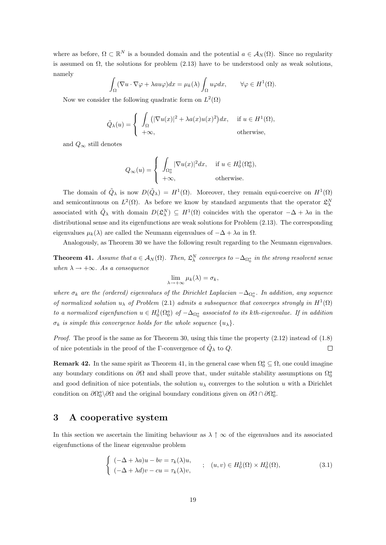where as before,  $\Omega \subset \mathbb{R}^N$  is a bounded domain and the potential  $a \in \mathcal{A}_N(\Omega)$ . Since no regularity is assumed on  $\Omega$ , the solutions for problem (2.13) have to be understood only as weak solutions, namely

$$
\int_{\Omega} (\nabla u \cdot \nabla \varphi + \lambda au\varphi) dx = \mu_k(\lambda) \int_{\Omega} u\varphi dx, \qquad \forall \varphi \in H^1(\Omega).
$$

Now we consider the following quadratic form on  $L^2(\Omega)$ 

$$
\tilde{Q}_{\lambda}(u) = \begin{cases} \int_{\Omega} \left( |\nabla u(x)|^2 + \lambda a(x) u(x)^2 \right) dx, & \text{if } u \in H^1(\Omega), \\ +\infty, & \text{otherwise}, \end{cases}
$$

and  $Q_{\infty}$  still denotes

$$
Q_{\infty}(u) = \begin{cases} \int_{\Omega_0^a} |\nabla u(x)|^2 dx, & \text{if } u \in H_0^1(\Omega_0^a), \\ +\infty, & \text{otherwise.} \end{cases}
$$

The domain of  $\tilde{Q}_\lambda$  is now  $D(\tilde{Q}_\lambda) = H^1(\Omega)$ . Moreover, they remain equi-coercive on  $H^1(\Omega)$ and semicontinuous on  $L^2(\Omega)$ . As before we know by standard arguments that the operator  $\mathfrak{L}^N_\lambda$ associated with  $\tilde{Q}_\lambda$  with domain  $D(\mathfrak{L}^N_\lambda) \subseteq H^1(\Omega)$  coincides with the operator  $-\Delta + \lambda a$  in the distributional sense and its eigenfunctions are weak solutions for Problem (2.13). The corresponding eigenvalues  $\mu_k(\lambda)$  are called the Neumann eigenvalues of  $-\Delta + \lambda a$  in  $\Omega$ .

Analogously, as Theorem 30 we have the following result regarding to the Neumann eigenvalues.

**Theorem 41.** Assume that  $a \in A_N(\Omega)$ . Then,  $\mathfrak{L}_\lambda^N$  converges to  $-\Delta_{\Omega_0^a}$  in the strong resolvent sense when  $\lambda \rightarrow +\infty$ . As a consequence

$$
\lim_{\lambda \to +\infty} \mu_k(\lambda) = \sigma_k,
$$

where  $\sigma_k$  are the (ordered) eigenvalues of the Dirichlet Laplacian  $-\Delta_{\Omega_0^a}$ . In addition, any sequence of normalized solution  $u_{\lambda}$  of Problem (2.1) admits a subsequence that converges strongly in  $H^{1}(\Omega)$ to a normalized eigenfunction  $u \in H_0^1(\Omega_0^a)$  of  $-\Delta_{\Omega_0^a}$  associated to its kth-eigenvalue. If in addition  $\sigma_k$  is simple this convergence holds for the whole sequence  $\{u_\lambda\}$ .

*Proof.* The proof is the same as for Theorem 30, using this time the property  $(2.12)$  instead of  $(1.8)$ of nice potentials in the proof of the Γ-convergence of  $\tilde{Q}_{\lambda}$  to  $Q$ .  $\Box$ 

**Remark 42.** In the same spirit as Theorem 41, in the general case when  $\Omega_0^a \subseteq \Omega$ , one could imagine any boundary conditions on  $\partial\Omega$  and shall prove that, under suitable stability assumptions on  $\Omega_0^a$ and good definition of nice potentials, the solution  $u_\lambda$  converges to the solution u with a Dirichlet condition on  $\partial\Omega_0^a \setminus \partial\Omega$  and the original boundary conditions given on  $\partial\Omega \cap \partial\Omega_0^a$ .

### 3 A cooperative system

In this section we ascertain the limiting behaviour as  $\lambda \uparrow \infty$  of the eigenvalues and its associated eigenfunctions of the linear eigenvalue problem

$$
\begin{cases}\n(-\Delta + \lambda a)u - bv = \tau_k(\lambda)u, & ; \quad (u, v) \in H_0^1(\Omega) \times H_0^1(\Omega), \\
(-\Delta + \lambda d)v - cu = \tau_k(\lambda)v,\n\end{cases}
$$
\n(3.1)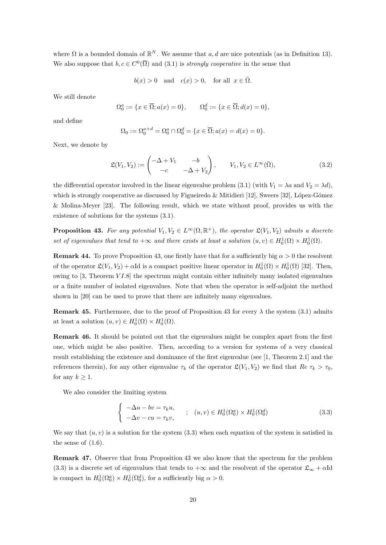where  $\Omega$  is a bounded domain of  $\mathbb{R}^N$ . We assume that  $a, d$  are nice potentials (as in Definition 13). We also suppose that  $b, c \in C^{0}(\overline{\Omega})$  and  $(3.1)$  is *strongly cooperative* in the sense that

 $b(x) > 0$  and  $c(x) > 0$ , for all  $x \in \overline{\Omega}$ .

We still denote

$$
\Omega_0^a := \{ x \in \overline{\Omega}; a(x) = 0 \}, \qquad \Omega_0^d := \{ x \in \overline{\Omega}; d(x) = 0 \},
$$

and define

$$
\Omega_0 := \Omega_0^{a+d} = \Omega_0^a \cap \Omega_0^d = \{ x \in \overline{\Omega}; a(x) = d(x) = 0 \}.
$$

Next, we denote by

$$
\mathfrak{L}(V_1, V_2) := \begin{pmatrix} -\Delta + V_1 & -b \\ -c & -\Delta + V_2 \end{pmatrix}, \qquad V_1, V_2 \in L^{\infty}(\bar{\Omega}), \tag{3.2}
$$

the differential operator involved in the linear eigenvalue problem (3.1) (with  $V_1 = \lambda a$  and  $V_2 = \lambda d$ ), which is strongly cooperative as discussed by Figueiredo & Mitidieri [12], Sweers [32], López-Gómez & Molina-Meyer [23]. The following result, which we state without proof, provides us with the existence of solutions for the systems (3.1).

**Proposition 43.** For any potential  $V_1, V_2 \in L^{\infty}(\Omega, \mathbb{R}^+)$ , the operator  $\mathfrak{L}(V_1, V_2)$  admits a discrete set of eigenvalues that tend to  $+\infty$  and there exists at least a solution  $(u, v) \in H_0^1(\Omega) \times H_0^1(\Omega)$ .

**Remark 44.** To prove Proposition 43, one firstly have that for a sufficiently big  $\alpha > 0$  the resolvent of the operator  $\mathfrak{L}(V_1, V_2) + \alpha \text{Id}$  is a compact positive linear operator in  $H_0^1(\Omega) \times H_0^1(\Omega)$  [32]. Then, owing to  $[3,$  Theorem  $VI.8$  the spectrum might contain either infinitely many isolated eigenvalues or a finite number of isolated eigenvalues. Note that when the operator is self-adjoint the method shown in [20] can be used to prove that there are infinitely many eigenvalues.

**Remark 45.** Furthermore, due to the proof of Proposition 43 for every  $\lambda$  the system (3.1) admits at least a solution  $(u, v) \in H_0^1(\Omega) \times H_0^1(\Omega)$ .

Remark 46. It should be pointed out that the eigenvalues might be complex apart from the first one, which might be also positive. Then, according to a version for systems of a very classical result establishing the existence and dominance of the first eigenvalue (see [1, Theorem 2.1] and the references therein), for any other eigenvalue  $\tau_k$  of the operator  $\mathfrak{L}(V_1, V_2)$  we find that  $Re \tau_k > \tau_0$ , for any  $k \geq 1$ .

We also consider the limiting system

$$
\begin{cases}\n-\Delta u - bv = \tau_k u, \\
-\Delta v - cu = \tau_k v,\n\end{cases}
$$
\n
$$
\begin{cases}\n(u, v) \in H_0^1(\Omega_0^a) \times H_0^1(\Omega_0^d) \\
(3.3)\n\end{cases}
$$

We say that  $(u, v)$  is a solution for the system (3.3) when each equation of the system is satisfied in the sense of  $(1.6)$ .

Remark 47. Observe that from Proposition 43 we also know that the spectrum for the problem (3.3) is a discrete set of eigenvalues that tends to  $+\infty$  and the resolvent of the operator  $\mathfrak{L}_{\infty} + \alpha \text{Id}$ is compact in  $H_0^1(\Omega_0^a) \times H_0^1(\Omega_0^d)$ , for a sufficiently big  $\alpha > 0$ .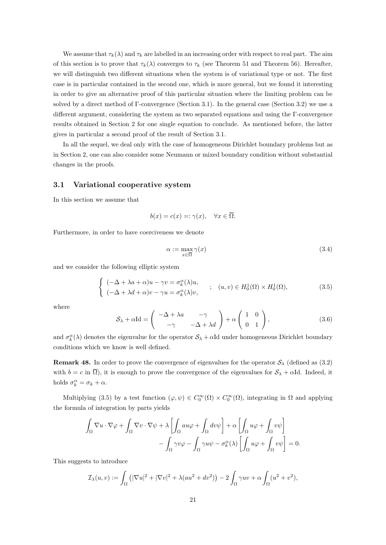We assume that  $\tau_k(\lambda)$  and  $\tau_k$  are labelled in an increasing order with respect to real part. The aim of this section is to prove that  $\tau_k(\lambda)$  converges to  $\tau_k$  (see Theorem 51 and Theorem 56). Hereafter, we will distinguish two different situations when the system is of variational type or not. The first case is in particular contained in the second one, which is more general, but we found it interesting in order to give an alternative proof of this particular situation where the limiting problem can be solved by a direct method of Γ-convergence (Section 3.1). In the general case (Section 3.2) we use a different argument, considering the system as two separated equations and using the Γ-convergence results obtained in Section 2 for one single equation to conclude. As mentioned before, the latter gives in particular a second proof of the result of Section 3.1.

In all the sequel, we deal only with the case of homogeneous Dirichlet boundary problems but as in Section 2, one can also consider some Neumann or mixed boundary condition without substantial changes in the proofs.

#### 3.1 Variational cooperative system

In this section we assume that

$$
b(x) = c(x) =: \gamma(x), \quad \forall x \in \overline{\Omega}.
$$

Furthermore, in order to have coerciveness we denote

$$
\alpha := \max_{x \in \overline{\Omega}} \gamma(x) \tag{3.4}
$$

and we consider the following elliptic system

$$
\begin{cases}\n(-\Delta + \lambda a + \alpha)u - \gamma v = \sigma_k^{\alpha}(\lambda)u, & ; \quad (u, v) \in H_0^1(\Omega) \times H_0^1(\Omega), \\
(-\Delta + \lambda d + \alpha)v - \gamma u = \sigma_k^{\alpha}(\lambda)v,\n\end{cases}
$$
\n(3.5)

where

$$
S_{\lambda} + \alpha \text{Id} = \begin{pmatrix} -\Delta + \lambda a & -\gamma \\ -\gamma & -\Delta + \lambda d \end{pmatrix} + \alpha \begin{pmatrix} 1 & 0 \\ 0 & 1 \end{pmatrix},
$$
(3.6)

and  $\sigma_k^{\alpha}(\lambda)$  denotes the eigenvalue for the operator  $S_{\lambda} + \alpha \text{Id}$  under homogeneous Dirichlet boundary conditions which we know is well defined.

**Remark 48.** In order to prove the convergence of eigenvalues for the operator  $S_\lambda$  (defined as (3.2) with  $b = c$  in  $\overline{\Omega}$ ), it is enough to prove the convergence of the eigenvalues for  $S_{\lambda} + \alpha \text{Id}$ . Indeed, it holds  $\sigma_k^{\alpha} = \sigma_k + \alpha$ .

Multiplying (3.5) by a test function  $(\varphi, \psi) \in C_0^{\infty}(\Omega) \times C_0^{\infty}(\Omega)$ , integrating in  $\Omega$  and applying the formula of integration by parts yields

$$
\int_{\Omega} \nabla u \cdot \nabla \varphi + \int_{\Omega} \nabla v \cdot \nabla \psi + \lambda \left[ \int_{\Omega} a u \varphi + \int_{\Omega} dv \psi \right] + \alpha \left[ \int_{\Omega} u \varphi + \int_{\Omega} v \psi \right] - \int_{\Omega} \gamma v \varphi - \int_{\Omega} \gamma u \psi - \sigma_k^{\alpha}(\lambda) \left[ \int_{\Omega} u \varphi + \int_{\Omega} v \psi \right] = 0.
$$

This suggests to introduce

$$
\mathcal{I}_{\lambda}(u,v) := \int_{\Omega} \left( |\nabla u|^2 + |\nabla v|^2 + \lambda (au^2 + dv^2) \right) - 2 \int_{\Omega} \gamma uv + \alpha \int_{\Omega} (u^2 + v^2),
$$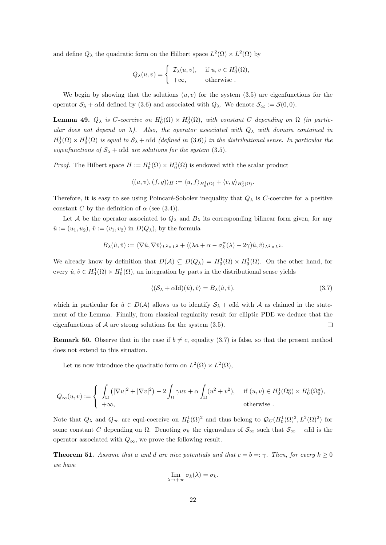and define  $Q_{\lambda}$  the quadratic form on the Hilbert space  $L^2(\Omega) \times L^2(\Omega)$  by

$$
Q_{\lambda}(u,v) = \begin{cases} \mathcal{I}_{\lambda}(u,v), & \text{if } u, v \in H_0^1(\Omega), \\ +\infty, & \text{otherwise} \end{cases}
$$

We begin by showing that the solutions  $(u, v)$  for the system (3.5) are eigenfunctions for the operator  $S_\lambda + \alpha I d$  defined by (3.6) and associated with  $Q_\lambda$ . We denote  $S_\infty := \mathcal{S}(0, 0)$ .

**Lemma 49.**  $Q_{\lambda}$  is C-coercive on  $H_0^1(\Omega) \times H_0^1(\Omega)$ , with constant C depending on  $\Omega$  (in particular does not depend on  $\lambda$ ). Also, the operator associated with  $Q_{\lambda}$  with domain contained in  $H_0^1(\Omega) \times H_0^1(\Omega)$  is equal to  $S_\lambda + \alpha \text{Id}$  (defined in (3.6)) in the distributional sense. In particular the eigenfunctions of  $S_{\lambda} + \alpha \text{Id}$  are solutions for the system (3.5).

*Proof.* The Hilbert space  $H := H_0^1(\Omega) \times H_0^1(\Omega)$  is endowed with the scalar product

$$
\langle (u,v),(f,g)\rangle_H:=\langle u,f\rangle_{H^1_0(\Omega)}+\langle v,g\rangle_{H^1_0(\Omega)}.
$$

Therefore, it is easy to see using Poincaré-Sobolev inequality that  $Q_{\lambda}$  is C-coercive for a positive constant C by the definition of  $\alpha$  (see (3.4)).

Let A be the operator associated to  $Q_{\lambda}$  and  $B_{\lambda}$  its corresponding bilinear form given, for any  $\hat{u} := (u_1, u_2), \, \hat{v} := (v_1, v_2)$  in  $D(Q_\lambda)$ , by the formula

$$
B_\lambda(\hat u,\hat v):=\langle \nabla \hat u,\nabla \hat v\rangle_{L^2\times L^2}+\langle (\lambda a+\alpha-\sigma_k^\alpha(\lambda)-2\gamma)\hat u,\hat v\rangle_{L^2\times L^2}.
$$

We already know by definition that  $D(\mathcal{A}) \subseteq D(Q_\lambda) = H_0^1(\Omega) \times H_0^1(\Omega)$ . On the other hand, for every  $\hat{u}, \hat{v} \in H_0^1(\Omega) \times H_0^1(\Omega)$ , an integration by parts in the distributional sense yields

$$
\langle (\mathcal{S}_{\lambda} + \alpha \mathrm{Id})(\hat{u}), \hat{v} \rangle = B_{\lambda}(\hat{u}, \hat{v}), \tag{3.7}
$$

which in particular for  $\hat{u} \in D(\mathcal{A})$  allows us to identify  $\mathcal{S}_{\lambda} + \alpha \text{Id}$  with  $\mathcal{A}$  as claimed in the statement of the Lemma. Finally, from classical regularity result for elliptic PDE we deduce that the eigenfunctions of  $A$  are strong solutions for the system  $(3.5)$ .  $\Box$ 

**Remark 50.** Observe that in the case if  $b \neq c$ , equality (3.7) is false, so that the present method does not extend to this situation.

Let us now introduce the quadratic form on  $L^2(\Omega) \times L^2(\Omega)$ ,

$$
Q_{\infty}(u,v) := \begin{cases} \int_{\Omega} \left( |\nabla u|^2 + |\nabla v|^2 \right) - 2 \int_{\Omega} \gamma uv + \alpha \int_{\Omega} (u^2 + v^2), & \text{if } (u,v) \in H_0^1(\Omega_0^a) \times H_0^1(\Omega_0^d), \\ +\infty, & \text{otherwise} \end{cases}
$$

Note that  $Q_{\lambda}$  and  $Q_{\infty}$  are equi-coercive on  $H_0^1(\Omega)^2$  and thus belong to  $\mathcal{Q}_C(H_0^1(\Omega)^2, L^2(\Omega)^2)$  for some constant C depending on  $\Omega$ . Denoting  $\sigma_k$  the eigenvalues of  $\mathcal{S}_{\infty}$  such that  $\mathcal{S}_{\infty} + \alpha \text{Id}$  is the operator associated with  $Q_{\infty}$ , we prove the following result.

**Theorem 51.** Assume that a and d are nice potentials and that  $c = b = \gamma$ . Then, for every  $k \geq 0$ we have

$$
\lim_{\lambda \to +\infty} \sigma_k(\lambda) = \sigma_k.
$$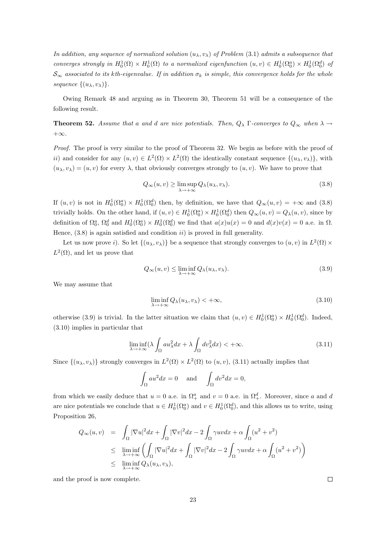In addition, any sequence of normalized solution  $(u_\lambda, v_\lambda)$  of Problem (3.1) admits a subsequence that converges strongly in  $H_0^1(\Omega) \times H_0^1(\Omega)$  to a normalized eigenfunction  $(u, v) \in H_0^1(\Omega_0^a) \times H_0^1(\Omega_0^d)$  of  $S_{\infty}$  associated to its kth-eigenvalue. If in addition  $\sigma_k$  is simple, this convergence holds for the whole sequence  $\{(u_\lambda, v_\lambda)\}.$ 

Owing Remark 48 and arguing as in Theorem 30, Theorem 51 will be a consequence of the following result.

**Theorem 52.** Assume that a and d are nice potentials. Then,  $Q_{\lambda}$  Γ-converges to  $Q_{\infty}$  when  $\lambda \rightarrow$  $+\infty$ .

Proof. The proof is very similar to the proof of Theorem 32. We begin as before with the proof of ii) and consider for any  $(u, v) \in L^2(\Omega) \times L^2(\Omega)$  the identically constant sequence  $\{(u_\lambda, v_\lambda)\}\$ , with  $(u_\lambda, v_\lambda) = (u, v)$  for every  $\lambda$ , that obviously converges strongly to  $(u, v)$ . We have to prove that

$$
Q_{\infty}(u,v) \ge \limsup_{\lambda \to +\infty} Q_{\lambda}(u_{\lambda},v_{\lambda}).
$$
\n(3.8)

If  $(u, v)$  is not in  $H_0^1(\Omega_0^a) \times H_0^1(\Omega_0^d)$  then, by definition, we have that  $Q_\infty(u, v) = +\infty$  and  $(3.8)$ trivially holds. On the other hand, if  $(u, v) \in H_0^1(\Omega_0^a) \times H_0^1(\Omega_0^d)$  then  $Q_\infty(u, v) = Q_\lambda(u, v)$ , since by definition of  $\Omega_0^a$ ,  $\Omega_0^d$  and  $H_0^1(\Omega_0^a) \times H_0^1(\Omega_0^d)$  we find that  $a(x)u(x) = 0$  and  $d(x)v(x) = 0$  a.e. in  $\Omega$ . Hence,  $(3.8)$  is again satisfied and condition *ii*) is proved in full generality.

Let us now prove *i*). So let  $\{(u_\lambda, v_\lambda)\}\)$  be a sequence that strongly converges to  $(u, v)$  in  $L^2(\Omega) \times$  $L^2(\Omega)$ , and let us prove that

$$
Q_{\infty}(u,v) \le \liminf_{\lambda \to +\infty} Q_{\lambda}(u_{\lambda},v_{\lambda}).
$$
\n(3.9)

We may assume that

$$
\liminf_{\lambda \to +\infty} Q_{\lambda}(u_{\lambda}, v_{\lambda}) < +\infty, \tag{3.10}
$$

otherwise (3.9) is trivial. In the latter situation we claim that  $(u, v) \in H_0^1(\Omega_0^a) \times H_0^1(\Omega_0^d)$ . Indeed, (3.10) implies in particular that

$$
\liminf_{\lambda \to +\infty} (\lambda \int_{\Omega} a u_{\lambda}^2 dx + \lambda \int_{\Omega} dv_{\lambda}^2 dx) < +\infty.
$$
 (3.11)

Since  $\{(u_\lambda, v_\lambda)\}\$  strongly converges in  $L^2(\Omega) \times L^2(\Omega)$  to  $(u, v)$ , (3.11) actually implies that

$$
\int_{\Omega} au^2 dx = 0 \quad \text{and} \quad \int_{\Omega} dv^2 dx = 0,
$$

from which we easily deduce that  $u = 0$  a.e. in  $\Omega^a_+$  and  $v = 0$  a.e. in  $\Omega^d_+$ . Moreover, since a and d are nice potentials we conclude that  $u \in H_0^1(\Omega_0^a)$  and  $v \in H_0^1(\Omega_0^d)$ , and this allows us to write, using Proposition 26,

$$
Q_{\infty}(u,v) = \int_{\Omega} |\nabla u|^2 dx + \int_{\Omega} |\nabla v|^2 dx - 2 \int_{\Omega} \gamma uv dx + \alpha \int_{\Omega} (u^2 + v^2)
$$
  
\$\leq\$ 
$$
\liminf_{\lambda \to +\infty} \left( \int_{\Omega} |\nabla u|^2 dx + \int_{\Omega} |\nabla v|^2 dx - 2 \int_{\Omega} \gamma uv dx + \alpha \int_{\Omega} (u^2 + v^2) \right)
$$
  
\$\leq\$ 
$$
\liminf_{\lambda \to +\infty} Q_{\lambda}(u_{\lambda}, v_{\lambda}),
$$

and the proof is now complete.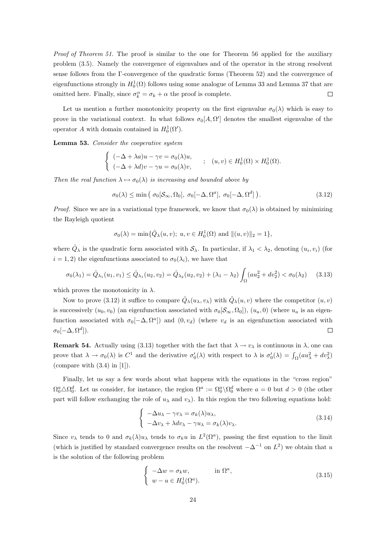Proof of Theorem 51. The proof is similar to the one for Theorem 56 applied for the auxiliary problem (3.5). Namely the convergence of eigenvalues and of the operator in the strong resolvent sense follows from the Γ-convergence of the quadratic forms (Theorem 52) and the convergence of eigenfunctions strongly in  $H_0^1(\Omega)$  follows using some analogue of Lemma 33 and Lemma 37 that are omitted here. Finally, since  $\sigma_k^{\alpha} = \sigma_k + \alpha$  the proof is complete.  $\Box$ 

Let us mention a further monotonicity property on the first eigenvalue  $\sigma_0(\lambda)$  which is easy to prove in the variational context. In what follows  $\sigma_0[A, \Omega']$  denotes the smallest eigenvalue of the operator A with domain contained in  $H_0^1(\Omega')$ .

Lemma 53. Consider the cooperative system

$$
\begin{cases}\n(-\Delta + \lambda a)u - \gamma v = \sigma_0(\lambda)u, \\
(-\Delta + \lambda d)v - \gamma u = \sigma_0(\lambda)v,\n\end{cases}
$$
\n;\n $(u, v) \in H_0^1(\Omega) \times H_0^1(\Omega).$ 

Then the real function  $\lambda \mapsto \sigma_0(\lambda)$  is increasing and bounded above by

$$
\sigma_0(\lambda) \le \min\left(\sigma_0[\mathcal{S}_{\infty}, \Omega_0], \sigma_0[-\Delta, \Omega^a], \sigma_0[-\Delta, \Omega^d]\right). \tag{3.12}
$$

*Proof.* Since we are in a variational type framework, we know that  $\sigma_0(\lambda)$  is obtained by minimizing the Rayleigh quotient

$$
\sigma_0(\lambda) = \min{\{\hat{Q}_{\lambda}(u, v); u, v \in H_0^1(\Omega) \text{ and } ||(u, v)||_2 = 1\}},
$$

where  $\hat{Q}_{\lambda}$  is the quadratic form associated with  $\mathcal{S}_{\lambda}$ . In particular, if  $\lambda_1 < \lambda_2$ , denoting  $(u_i, v_i)$  (for  $i = 1, 2$ ) the eigenfunctions associated to  $\sigma_0(\lambda_i)$ , we have that

$$
\sigma_0(\lambda_1) = \hat{Q}_{\lambda_1}(u_1, v_1) \le \hat{Q}_{\lambda_1}(u_2, v_2) = \hat{Q}_{\lambda_2}(u_2, v_2) + (\lambda_1 - \lambda_2) \int_{\Omega} (au_2^2 + dv_2^2) < \sigma_0(\lambda_2) \tag{3.13}
$$

which proves the monotonicity in  $\lambda$ .

Now to prove (3.12) it suffice to compare  $\hat{Q}_{\lambda}(u_{\lambda}, v_{\lambda})$  with  $\hat{Q}_{\lambda}(u, v)$  where the competitor  $(u, v)$ is successively  $(u_0, v_0)$  (an eigenfunction associated with  $\sigma_0[\mathcal{S}_{\infty}, \Omega_0]$ ),  $(u_a, 0)$  (where  $u_a$  is an eigenfunction associated with  $\sigma_0[-\Delta, \Omega^a]$  and  $(0, v_d)$  (where  $v_d$  is an eigenfunction associated with  $\sigma_0[-\Delta,\Omega^d]).$  $\Box$ 

**Remark 54.** Actually using (3.13) together with the fact that  $\lambda \to v_\lambda$  is continuous in  $\lambda$ , one can prove that  $\lambda \to \sigma_0(\lambda)$  is  $C^1$  and the derivative  $\sigma'_0(\lambda)$  with respect to  $\lambda$  is  $\sigma'_0(\lambda) = \int_{\Omega} (au_\lambda^2 + dv_\lambda^2)$ (compare with  $(3.4)$  in [1]).

Finally, let us say a few words about what happens with the equations in the "cross region"  $\Omega_0^a\triangle\Omega_0^d$ . Let us consider, for instance, the region  $\Omega^a := \Omega_0^a\setminus\Omega_0^d$  where  $a = 0$  but  $d > 0$  (the other part will follow exchanging the role of  $u_\lambda$  and  $v_\lambda$ ). In this region the two following equations hold:

$$
\begin{cases}\n-\Delta u_{\lambda} - \gamma v_{\lambda} = \sigma_k(\lambda) u_{\lambda}, \\
-\Delta v_{\lambda} + \lambda dv_{\lambda} - \gamma u_{\lambda} = \sigma_k(\lambda) v_{\lambda}.\n\end{cases}
$$
\n(3.14)

Since  $v_\lambda$  tends to 0 and  $\sigma_k(\lambda)u_\lambda$  tends to  $\sigma_k u$  in  $L^2(\Omega^a)$ , passing the first equation to the limit (which is justified by standard convergence results on the resolvent  $-\Delta^{-1}$  on  $L^2$ ) we obtain that u is the solution of the following problem

$$
\begin{cases}\n-\Delta w = \sigma_k w, & \text{in } \Omega^a, \\
w - u \in H_0^1(\Omega^a).\n\end{cases}
$$
\n(3.15)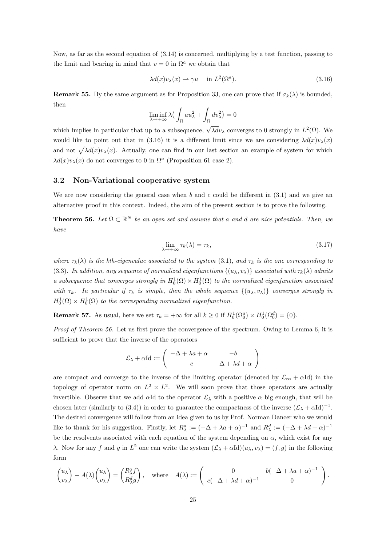Now, as far as the second equation of (3.14) is concerned, multiplying by a test function, passing to the limit and bearing in mind that  $v = 0$  in  $\Omega^a$  we obtain that

$$
\lambda d(x)v_{\lambda}(x) \rightharpoonup \gamma u \quad \text{in } L^{2}(\Omega^{a}). \tag{3.16}
$$

**Remark 55.** By the same argument as for Proposition 33, one can prove that if  $\sigma_k(\lambda)$  is bounded, then

$$
\liminf_{\lambda \to +\infty} \lambda \big( \int_{\Omega} a u_{\lambda}^2 + \int_{\Omega} dv_{\lambda}^2 \big) = 0
$$

which implies in particular that up to a subsequence,  $\sqrt{\lambda d}v_{\lambda}$  converges to 0 strongly in  $L^2(\Omega)$ . We would like to point out that in (3.16) it is a different limit since we are considering  $\lambda d(x)v_\lambda(x)$ and not  $\sqrt{\lambda d(x)}v_\lambda(x)$ . Actually, one can find in our last section an example of system for which  $\lambda d(x)v_{\lambda}(x)$  do not converges to 0 in  $\Omega^{a}$  (Proposition 61 case 2).

### 3.2 Non-Variational cooperative system

We are now considering the general case when b and c could be different in  $(3.1)$  and we give an alternative proof in this context. Indeed, the aim of the present section is to prove the following.

**Theorem 56.** Let  $\Omega \subset \mathbb{R}^N$  be an open set and assume that a and d are nice potentials. Then, we have

$$
\lim_{\lambda \to +\infty} \tau_k(\lambda) = \tau_k,\tag{3.17}
$$

where  $\tau_k(\lambda)$  is the kth-eigenvalue associated to the system (3.1), and  $\tau_k$  is the one corresponding to (3.3). In addition, any sequence of normalized eigenfunctions  $\{(u_\lambda, v_\lambda)\}\$ associated with  $\tau_k(\lambda)$  admits a subsequence that converges strongly in  $H_0^1(\Omega) \times H_0^1(\Omega)$  to the normalized eigenfunction associated with  $\tau_k$ . In particular if  $\tau_k$  is simple, then the whole sequence  $\{(u_\lambda, v_\lambda)\}$  converges strongly in  $H_0^1(\Omega) \times H_0^1(\Omega)$  to the corresponding normalized eigenfunction.

**Remark 57.** As usual, here we set  $\tau_k = +\infty$  for all  $k \geq 0$  if  $H_0^1(\Omega_0^a) \times H_0^1(\Omega_0^d) = \{0\}.$ 

Proof of Theorem 56. Let us first prove the convergence of the spectrum. Owing to Lemma 6, it is sufficient to prove that the inverse of the operators

$$
\mathcal{L}_{\lambda} + \alpha \mathrm{Id} := \left( \begin{array}{cc} -\Delta + \lambda a + \alpha & -b \\ -c & -\Delta + \lambda d + \alpha \end{array} \right)
$$

are compact and converge to the inverse of the limiting operator (denoted by  $\mathcal{L}_{\infty} + \alpha \text{Id}$ ) in the topology of operator norm on  $L^2 \times L^2$ . We will soon prove that those operators are actually invertible. Observe that we add  $\alpha$ Id to the operator  $\mathcal{L}_{\lambda}$  with a positive  $\alpha$  big enough, that will be chosen later (similarly to (3.4)) in order to guarantee the compactness of the inverse  $(\mathcal{L}_{\lambda} + \alpha \text{Id})^{-1}$ . The desired convergence will follow from an idea given to us by Prof. Norman Dancer who we would like to thank for his suggestion. Firstly, let  $R_{\lambda}^a := (-\Delta + \lambda a + \alpha)^{-1}$  and  $R_{\lambda}^d := (-\Delta + \lambda d + \alpha)^{-1}$ be the resolvents associated with each equation of the system depending on  $\alpha$ , which exist for any λ. Now for any f and g in  $L^2$  one can write the system  $(\mathcal{L}_\lambda + \alpha \text{Id})(u_\lambda, v_\lambda) = (f, g)$  in the following form

$$
\begin{pmatrix} u_{\lambda} \\ v_{\lambda} \end{pmatrix} - A(\lambda) \begin{pmatrix} u_{\lambda} \\ v_{\lambda} \end{pmatrix} = \begin{pmatrix} R_{\lambda}^{a} f \\ R_{\lambda}^{d} g \end{pmatrix}, \text{ where } A(\lambda) := \begin{pmatrix} 0 & b(-\Delta + \lambda a + \alpha)^{-1} \\ c(-\Delta + \lambda d + \alpha)^{-1} & 0 \end{pmatrix}.
$$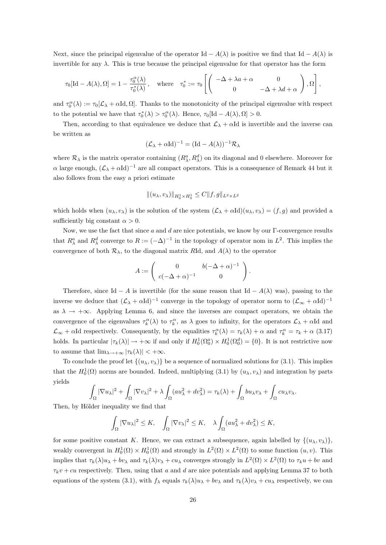Next, since the principal eigenvalue of the operator Id  $-A(\lambda)$  is positive we find that Id  $-A(\lambda)$  is invertible for any  $\lambda$ . This is true because the principal eigenvalue for that operator has the form

$$
\tau_0[\text{Id}-A(\lambda),\Omega]=1-\frac{\tau_0^{\alpha}(\lambda)}{\tau_0^*(\lambda)}, \text{ where } \tau_0^*:=\tau_0\left[\begin{pmatrix}-\Delta+\lambda a+\alpha & 0\\ 0 & -\Delta+\lambda d+\alpha\end{pmatrix},\Omega\right],
$$

and  $\tau_0^{\alpha}(\lambda) := \tau_0[\mathcal{L}_{\lambda} + \alpha \text{Id}, \Omega]$ . Thanks to the monotonicity of the principal eigenvalue with respect to the potential we have that  $\tau_0^*(\lambda) > \tau_0^{\alpha}(\lambda)$ . Hence,  $\tau_0[\text{Id} - A(\lambda), \Omega] > 0$ .

Then, according to that equivalence we deduce that  $\mathcal{L}_{\lambda} + \alpha \text{Id}$  is invertible and the inverse can be written as

$$
(\mathcal{L}_{\lambda} + \alpha \mathrm{Id})^{-1} = (\mathrm{Id} - A(\lambda))^{-1} \mathcal{R}_{\lambda}
$$

where  $\mathcal{R}_{\lambda}$  is the matrix operator containing  $(R_{\lambda}^a, R_{\lambda}^d)$  on its diagonal and 0 elsewhere. Moreover for α large enough,  $(£λ + αId)<sup>-1</sup>$  are all compact operators. This is a consequence of Remark 44 but it also follows from the easy a priori estimate

$$
\|(u_{\lambda},v_{\lambda})\|_{H^1_0\times H^1_0}\leq C\|f,g\|_{L^2\times L^2}
$$

which holds when  $(u_\lambda, v_\lambda)$  is the solution of the system  $(\mathcal{L}_\lambda + \alpha \text{Id})(u_\lambda, v_\lambda) = (f, g)$  and provided a sufficiently big constant  $\alpha > 0$ .

Now, we use the fact that since a and d are nice potentials, we know by our  $\Gamma$ -convergence results that  $R^a_\lambda$  and  $R^d_\lambda$  converge to  $R := (-\Delta)^{-1}$  in the topology of operator nom in  $L^2$ . This implies the convergence of both  $\mathcal{R}_{\lambda}$ , to the diagonal matrix RId, and  $A(\lambda)$  to the operator

$$
A := \left( \begin{array}{cc} 0 & b(-\Delta + \alpha)^{-1} \\ c(-\Delta + \alpha)^{-1} & 0 \end{array} \right).
$$

Therefore, since Id – A is invertible (for the same reason that Id –  $A(\lambda)$  was), passing to the inverse we deduce that  $(\mathcal{L}_{\lambda} + \alpha Id)^{-1}$  converge in the topology of operator norm to  $(\mathcal{L}_{\infty} + \alpha Id)^{-1}$ as  $\lambda \to +\infty$ . Applying Lemma 6, and since the inverses are compact operators, we obtain the convergence of the eigenvalues  $\tau_k^{\alpha}(\lambda)$  to  $\tau_k^{\alpha}$ , as  $\lambda$  goes to infinity, for the operators  $\mathcal{L}_{\lambda} + \alpha \text{Id}$  and  $\mathcal{L}_{\infty} + \alpha \text{Id}$  respectively. Consequently, by the equalities  $\tau_k^{\alpha}(\lambda) = \tau_k(\lambda) + \alpha$  and  $\tau_k^{\alpha} = \tau_k + \alpha$  (3.17) holds. In particular  $|\tau_k(\lambda)| \to +\infty$  if and only if  $H_0^1(\Omega_0^a) \times H_0^1(\Omega_0^d) = \{0\}$ . It is not restrictive now to assume that  $\lim_{\lambda \to +\infty} |\tau_k(\lambda)| < +\infty$ .

To conclude the proof let  $\{(u_\lambda, v_\lambda)\}\$  be a sequence of normalized solutions for (3.1). This implies that the  $H_0^1(\Omega)$  norms are bounded. Indeed, multiplying (3.1) by  $(u_\lambda, v_\lambda)$  and integration by parts yields

$$
\int_{\Omega} |\nabla u_{\lambda}|^2 + \int_{\Omega} |\nabla v_{\lambda}|^2 + \lambda \int_{\Omega} (au_{\lambda}^2 + dv_{\lambda}^2) = \tau_k(\lambda) + \int_{\Omega} bu_{\lambda}v_{\lambda} + \int_{\Omega} cu_{\lambda}v_{\lambda}.
$$

Then, by Hölder inequality we find that

$$
\int_{\Omega} |\nabla u_{\lambda}|^2 \leq K, \quad \int_{\Omega} |\nabla v_{\lambda}|^2 \leq K, \quad \lambda \int_{\Omega} (au_{\lambda}^2 + dv_{\lambda}^2) \leq K,
$$

for some positive constant K. Hence, we can extract a subsequence, again labelled by  $\{(u_\lambda, v_\lambda)\}\$ weakly convergent in  $H_0^1(\Omega) \times H_0^1(\Omega)$  and strongly in  $L^2(\Omega) \times L^2(\Omega)$  to some function  $(u, v)$ . This implies that  $\tau_k(\lambda)u_\lambda + bv_\lambda$  and  $\tau_k(\lambda)v_\lambda + cu_\lambda$  converges strongly in  $L^2(\Omega) \times L^2(\Omega)$  to  $\tau_k u + bv$  and  $\tau_k v + cu$  respectively. Then, using that a and d are nice potentials and applying Lemma 37 to both equations of the system (3.1), with  $f_{\lambda}$  equals  $\tau_k(\lambda)u_{\lambda} + bv_{\lambda}$  and  $\tau_k(\lambda)v_{\lambda} + cu_{\lambda}$  respectively, we can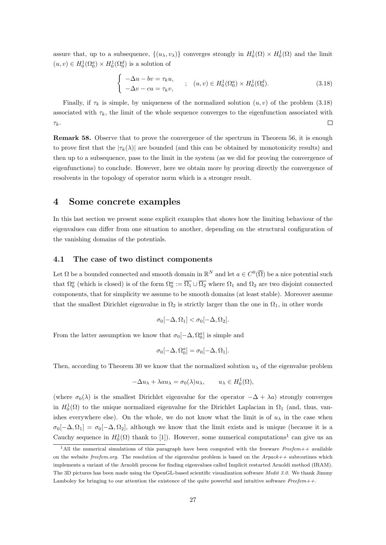assure that, up to a subsequence,  $\{(u_\lambda, v_\lambda)\}\)$  converges strongly in  $H_0^1(\Omega) \times H_0^1(\Omega)$  and the limit  $(u, v) \in H_0^1(\Omega_0^a) \times H_0^1(\Omega_0^d)$  is a solution of

$$
\begin{cases}\n-\Delta u - bv = \tau_k u, & ; \quad (u, v) \in H_0^1(\Omega_0^a) \times H_0^1(\Omega_0^d).\n\end{cases}
$$
\n(3.18)

Finally, if  $\tau_k$  is simple, by uniqueness of the normalized solution  $(u, v)$  of the problem (3.18) associated with  $\tau_k$ , the limit of the whole sequence converges to the eigenfunction associated with  $\Box$  $\tau_k$ .

Remark 58. Observe that to prove the convergence of the spectrum in Theorem 56, it is enough to prove first that the  $|\tau_k(\lambda)|$  are bounded (and this can be obtained by monotonicity results) and then up to a subsequence, pass to the limit in the system (as we did for proving the convergence of eigenfunctions) to conclude. However, here we obtain more by proving directly the convergence of resolvents in the topology of operator norm which is a stronger result.

### 4 Some concrete examples

In this last section we present some explicit examples that shows how the limiting behaviour of the eigenvalues can differ from one situation to another, depending on the structural configuration of the vanishing domains of the potentials.

#### 4.1 The case of two distinct components

Let  $\Omega$  be a bounded connected and smooth domain in  $\mathbb{R}^N$  and let  $a \in C^0(\overline{\Omega})$  be a nice potential such that  $\Omega_0^a$  (which is closed) is of the form  $\Omega_0^a := \overline{\Omega_1} \cup \overline{\Omega_2}$  where  $\Omega_1$  and  $\Omega_2$  are two disjoint connected components, that for simplicity we assume to be smooth domains (at least stable). Moreover assume that the smallest Dirichlet eigenvalue in  $\Omega_2$  is strictly larger than the one in  $\Omega_1$ , in other words

$$
\sigma_0[-\Delta,\Omega_1] < \sigma_0[-\Delta,\Omega_2].
$$

From the latter assumption we know that  $\sigma_0[-\Delta, \Omega_0^a]$  is simple and

$$
\sigma_0[-\Delta, \Omega_0^a] = \sigma_0[-\Delta, \Omega_1].
$$

Then, according to Theorem 30 we know that the normalized solution  $u_{\lambda}$  of the eigenvalue problem

$$
-\Delta u_{\lambda} + \lambda a u_{\lambda} = \sigma_0(\lambda) u_{\lambda}, \qquad u_{\lambda} \in H_0^1(\Omega),
$$

(where  $\sigma_0(\lambda)$  is the smallest Dirichlet eigenvalue for the operator  $-\Delta + \lambda a$ ) strongly converges in  $H_0^1(\Omega)$  to the unique normalized eigenvalue for the Dirichlet Laplacian in  $\Omega_1$  (and, thus, vanishes everywhere else). On the whole, we do not know what the limit is of  $u_\lambda$  in the case when  $\sigma_0[-\Delta,\Omega_1]=\sigma_0[-\Delta,\Omega_2],$  although we know that the limit exists and is unique (because it is a Cauchy sequence in  $H_0^1(\Omega)$  thank to [1]). However, some numerical computations<sup>1</sup> can give us an

<sup>&</sup>lt;sup>1</sup>All the numerical simulations of this paragraph have been computed with the freeware Freefem++ available on the website free fem.org. The resolution of the eigenvalue problem is based on the  $Arpack++$  subroutines which implements a variant of the Arnoldi process for finding eigenvalues called Implicit restarted Arnoldi method (IRAM). The 3D pictures has been made using the OpenGL-based scientific visualization software Medit 3.0. We thank Jimmy Lamboley for bringing to our attention the existence of the quite powerful and intuitive software  $Freefem++$ .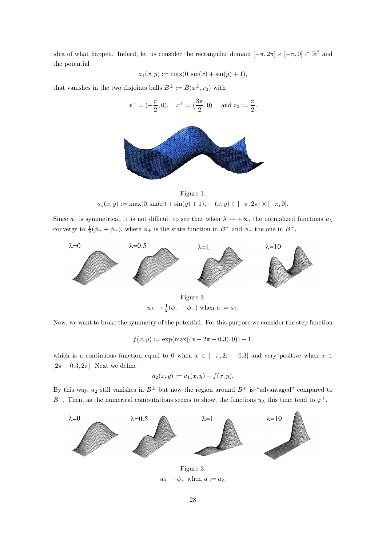idea of what happen. Indeed, let us consider the rectangular domain  $[-\pi, 2\pi] \times [-\pi, 0] \subset \mathbb{R}^2$  and the potential

$$
a_1(x, y) := \max(0, \sin(x) + \sin(y) + 1),
$$

that vanishes in the two disjoints balls  $B^{\pm} := B(x^{\pm}, r_0)$  with

$$
x^- = (-\frac{\pi}{2}, 0), \quad x^+ = (\frac{3\pi}{2}, 0) \quad \text{and } r_0 := \frac{\pi}{2}.
$$



Figure 1.  $a_1(x, y) := \max(0, \sin(x) + \sin(y) + 1), \quad (x, y) \in [-\pi, 2\pi] \times [-\pi, 0].$ 

Since  $a_1$  is symmetrical, it is not difficult to see that when  $\lambda \to +\infty$ , the normalized functions  $u_\lambda$ converge to  $\frac{1}{2}(\phi_+ + \phi_-)$ , where  $\phi_+$  is the state function in  $B^+$  and  $\phi_-$  the one in  $B^-$ .



 $u_{\lambda} \to \frac{1}{2}(\phi_- + \phi_+)$  when  $a := a_1$ .

Now, we want to brake the symmetry of the potential. For this purpose we consider the step function

 $f(x, y) := \exp(\max((x - 2\pi + 0.3), 0)) - 1,$ 

which is a continuous function equal to 0 when  $x \in [-\pi, 2\pi - 0.3]$  and very positive when  $x \in$  $[2\pi - 0.3, 2\pi]$ . Next we define

$$
a_2(x, y) := a_1(x, y) + f(x, y).
$$

By this way,  $a_2$  still vanishes in  $B^{\pm}$  but now the region around  $B^+$  is "advantaged" compared to B<sup>-</sup>. Then, as the numerical computations seems to show, the functions  $u_{\lambda}$  this time tend to  $\varphi^{+}$ .



 $u_{\lambda} \rightarrow \phi_+$  when  $a := a_2$ .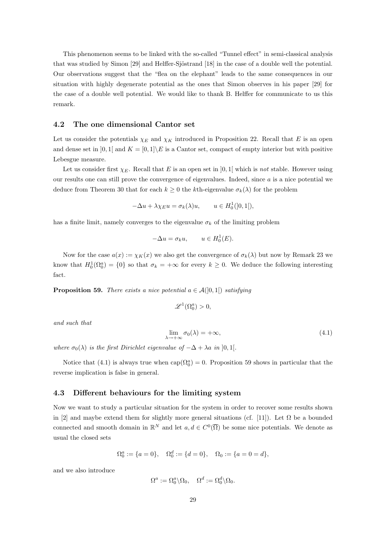This phenomenon seems to be linked with the so-called "Tunnel effect" in semi-classical analysis that was studied by Simon [29] and Helffer-Sjöstrand [18] in the case of a double well the potential. Our observations suggest that the "flea on the elephant" leads to the same consequences in our situation with highly degenerate potential as the ones that Simon observes in his paper [29] for the case of a double well potential. We would like to thank B. Helffer for communicate to us this remark.

#### 4.2 The one dimensional Cantor set

Let us consider the potentials  $\chi_E$  and  $\chi_K$  introduced in Proposition 22. Recall that E is an open and dense set in  $]0,1[$  and  $K = [0,1]\E$  is a Cantor set, compact of empty interior but with positive Lebesgue measure.

Let us consider first  $\chi_E$ . Recall that E is an open set in [0, 1] which is not stable. However using our results one can still prove the convergence of eigenvalues. Indeed, since  $\alpha$  is a nice potential we deduce from Theorem 30 that for each  $k \geq 0$  the kth-eigenvalue  $\sigma_k(\lambda)$  for the problem

$$
-\Delta u + \lambda \chi_E u = \sigma_k(\lambda)u, \qquad u \in H_0^1([0, 1]),
$$

has a finite limit, namely converges to the eigenvalue  $\sigma_k$  of the limiting problem

$$
-\Delta u = \sigma_k u, \qquad u \in H_0^1(E).
$$

Now for the case  $a(x) := \chi_K(x)$  we also get the convergence of  $\sigma_k(\lambda)$  but now by Remark 23 we know that  $H_0^1(\Omega_0^a) = \{0\}$  so that  $\sigma_k = +\infty$  for every  $k \geq 0$ . We deduce the following interesting fact.

**Proposition 59.** There exists a nice potential  $a \in \mathcal{A}(0,1)$  satisfying

$$
\mathscr{L}^1(\Omega_0^a) > 0,
$$

and such that

$$
\lim_{\lambda \to +\infty} \sigma_0(\lambda) = +\infty,\tag{4.1}
$$

where  $\sigma_0(\lambda)$  is the first Dirichlet eigenvalue of  $-\Delta + \lambda a$  in [0, 1].

Notice that (4.1) is always true when  $cap(\Omega_0^a) = 0$ . Proposition 59 shows in particular that the reverse implication is false in general.

#### 4.3 Different behaviours for the limiting system

Now we want to study a particular situation for the system in order to recover some results shown in [2] and maybe extend them for slightly more general situations (cf. [11]). Let  $\Omega$  be a bounded connected and smooth domain in  $\mathbb{R}^N$  and let  $a, d \in C^0(\overline{\Omega})$  be some nice potentials. We denote as usual the closed sets

$$
\Omega_0^a := \{a = 0\}, \quad \Omega_0^d := \{d = 0\}, \quad \Omega_0 := \{a = 0 = d\},
$$

and we also introduce

$$
\Omega^a:=\Omega^a_0\backslash \Omega_0, \quad \Omega^d:=\Omega^d_0\backslash \Omega_0.
$$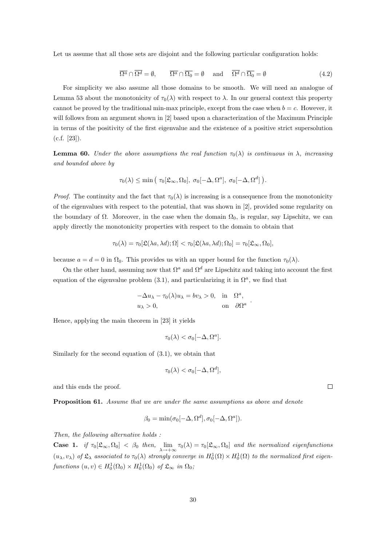Let us assume that all those sets are disjoint and the following particular configuration holds:

$$
\overline{\Omega^a} \cap \overline{\Omega^d} = \emptyset, \qquad \overline{\Omega^a} \cap \overline{\Omega_0} = \emptyset \quad \text{and} \quad \overline{\Omega^d} \cap \overline{\Omega_0} = \emptyset \tag{4.2}
$$

For simplicity we also assume all those domains to be smooth. We will need an analogue of Lemma 53 about the monotonicity of  $\tau_0(\lambda)$  with respect to  $\lambda$ . In our general context this property cannot be proved by the traditional min-max principle, except from the case when  $b = c$ . However, it will follows from an argument shown in [2] based upon a characterization of the Maximum Principle in terms of the positivity of the first eigenvalue and the existence of a positive strict supersolution  $(c.f. [23]).$ 

**Lemma 60.** Under the above assumptions the real function  $\tau_0(\lambda)$  is continuous in  $\lambda$ , increasing and bounded above by

$$
\tau_0(\lambda) \le \min\left(\tau_0[\mathfrak{L}_{\infty},\Omega_0], \sigma_0[-\Delta,\Omega^a], \sigma_0[-\Delta,\Omega^d]\right).
$$

*Proof.* The continuity and the fact that  $\tau_0(\lambda)$  is increasing is a consequence from the monotonicity of the eigenvalues with respect to the potential, that was shown in [2], provided some regularity on the boundary of  $\Omega$ . Moreover, in the case when the domain  $\Omega_0$ , is regular, say Lipschitz, we can apply directly the monotonicity properties with respect to the domain to obtain that

$$
\tau_0(\lambda)=\tau_0[\mathfrak{L}(\lambda a,\lambda d);\Omega]<\tau_0[\mathfrak{L}(\lambda a,\lambda d);\Omega_0]=\tau_0[\mathfrak{L}_{\infty},\Omega_0],
$$

because  $a = d = 0$  in  $\Omega_0$ . This provides us with an upper bound for the function  $\tau_0(\lambda)$ .

On the other hand, assuming now that  $\Omega^a$  and  $\Omega^d$  are Lipschitz and taking into account the first equation of the eigenvalue problem  $(3.1)$ , and particularizing it in  $\Omega^a$ , we find that

$$
-\Delta u_{\lambda} - \tau_0(\lambda)u_{\lambda} = bv_{\lambda} > 0, \text{ in } \Omega^a,
$$
  

$$
u_{\lambda} > 0, \text{ on } \partial\Omega^a
$$

.

Hence, applying the main theorem in [23] it yields

$$
\tau_0(\lambda) < \sigma_0[-\Delta, \Omega^a].
$$

Similarly for the second equation of (3.1), we obtain that

$$
\tau_0(\lambda) < \sigma_0[-\Delta, \Omega^d],
$$

and this ends the proof.

Proposition 61. Assume that we are under the same assumptions as above and denote

$$
\beta_0 = \min(\sigma_0[-\Delta, \Omega^d], \sigma_0[-\Delta, \Omega^a]).
$$

Then, the following alternative holds :

**Case 1.** if  $\tau_0[\mathfrak{L}_{\infty}, \Omega_0] < \beta_0$  then,  $\lim_{\lambda \to +\infty} \tau_0(\lambda) = \tau_0[\mathfrak{L}_{\infty}, \Omega_0]$  and the normalized eigenfunctions  $(u_\lambda, v_\lambda)$  of  $\mathfrak{L}_\lambda$  associated to  $\tau_0(\lambda)$  strongly converge in  $H_0^1(\Omega) \times H_0^1(\Omega)$  to the normalized first eigenfunctions  $(u, v) \in H_0^1(\Omega_0) \times H_0^1(\Omega_0)$  of  $\mathfrak{L}_{\infty}$  in  $\Omega_0$ ;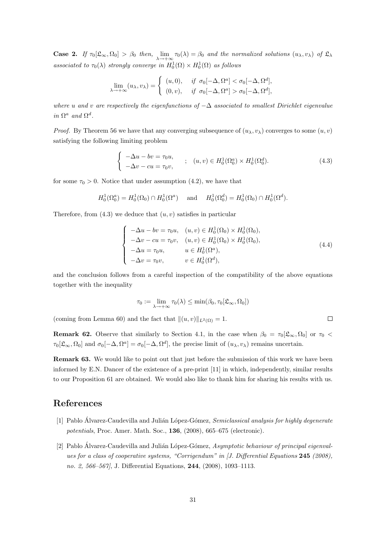**Case 2.** If  $\tau_0[\mathfrak{L}_{\infty}, \Omega_0] > \beta_0$  then,  $\lim_{\lambda \to +\infty} \tau_0(\lambda) = \beta_0$  and the normalized solutions  $(u_{\lambda}, v_{\lambda})$  of  $\mathfrak{L}_{\lambda}$ associated to  $\tau_0(\lambda)$  strongly converge in  $H_0^1(\Omega) \times H_0^1(\Omega)$  as follows

$$
\lim_{\lambda \to +\infty} (u_{\lambda}, v_{\lambda}) = \begin{cases} (u, 0), & \text{if } \sigma_0[-\Delta, \Omega^a] < \sigma_0[-\Delta, \Omega^d], \\ (0, v), & \text{if } \sigma_0[-\Delta, \Omega^a] > \sigma_0[-\Delta, \Omega^d], \end{cases}
$$

where u and v are respectively the eigenfunctions of  $-\Delta$  associated to smallest Dirichlet eigenvalue in  $\Omega^a$  and  $\Omega^d$ .

*Proof.* By Theorem 56 we have that any converging subsequence of  $(u_\lambda, v_\lambda)$  converges to some  $(u, v)$ satisfying the following limiting problem

$$
\begin{cases}\n-\Delta u - bv = \tau_0 u, \\
-\Delta v - cu = \tau_0 v,\n\end{cases}
$$
\n
$$
\vdots
$$
\n
$$
(u, v) \in H_0^1(\Omega_0^a) \times H_0^1(\Omega_0^d).
$$
\n(4.3)

for some  $\tau_0 > 0$ . Notice that under assumption (4.2), we have that

$$
H_0^1(\Omega_0^a) = H_0^1(\Omega_0) \cap H_0^1(\Omega^a) \quad \text{ and } \quad H_0^1(\Omega_0^d) = H_0^1(\Omega_0) \cap H_0^1(\Omega^d).
$$

Therefore, from  $(4.3)$  we deduce that  $(u, v)$  satisfies in particular

$$
\begin{cases}\n-\Delta u - bv = \tau_0 u, & (u, v) \in H_0^1(\Omega_0) \times H_0^1(\Omega_0), \\
-\Delta v - cu = \tau_0 v, & (u, v) \in H_0^1(\Omega_0) \times H_0^1(\Omega_0), \\
-\Delta u = \tau_0 u, & u \in H_0^1(\Omega^a), \\
-\Delta v = \tau_0 v, & v \in H_0^1(\Omega^d),\n\end{cases}
$$
\n(4.4)

 $\Box$ 

and the conclusion follows from a careful inspection of the compatibility of the above equations together with the inequality

$$
\tau_0 := \lim_{\lambda \to +\infty} \tau_0(\lambda) \le \min(\beta_0, \tau_0[\mathfrak{L}_{\infty}, \Omega_0])
$$

(coming from Lemma 60) and the fact that  $||(u, v)||_{L^2(\Omega)} = 1$ .

**Remark 62.** Observe that similarly to Section 4.1, in the case when  $\beta_0 = \tau_0[\mathfrak{L}_{\infty}, \Omega_0]$  or  $\tau_0$  <  $\tau_0[\mathfrak{L}_{\infty}, \Omega_0]$  and  $\sigma_0[-\Delta, \Omega^a] = \sigma_0[-\Delta, \Omega^d]$ , the precise limit of  $(u_{\lambda}, v_{\lambda})$  remains uncertain.

Remark 63. We would like to point out that just before the submission of this work we have been informed by E.N. Dancer of the existence of a pre-print [11] in which, independently, similar results to our Proposition 61 are obtained. We would also like to thank him for sharing his results with us.

### References

- [1] Pablo Álvarez-Caudevilla and Julián López-Gómez, Semiclassical analysis for highly degenerate potentials, Proc. Amer. Math. Soc., 136, (2008), 665–675 (electronic).
- [2] Pablo Álvarez-Caudevilla and Julián López-Gómez, Asymptotic behaviour of principal eigenvalues for a class of cooperative systems, "Corrigendum" in [J. Differential Equations 245 (2008), no. 2, 566–567], J. Differential Equations, 244, (2008), 1093–1113.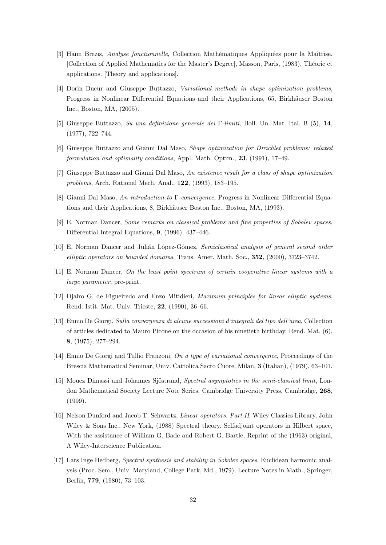- [3] Haïm Brezis, *Analyse fonctionnelle*, Collection Mathématiques Appliquées pour la Maîtrise. [Collection of Applied Mathematics for the Master's Degree], Masson, Paris, (1983), Théorie et applications. [Theory and applications].
- [4] Dorin Bucur and Giuseppe Buttazzo, Variational methods in shape optimization problems, Progress in Nonlinear Differential Equations and their Applications, 65, Birkhäuser Boston Inc., Boston, MA, (2005).
- [5] Giuseppe Buttazzo, Su una definizione generale dei Γ-limiti, Boll. Un. Mat. Ital. B (5), 14, (1977), 722–744.
- [6] Giuseppe Buttazzo and Gianni Dal Maso, Shape optimization for Dirichlet problems: relaxed formulation and optimality conditions, Appl. Math. Optim., 23, (1991), 17–49.
- [7] Giuseppe Buttazzo and Gianni Dal Maso, An existence result for a class of shape optimization problems, Arch. Rational Mech. Anal., 122, (1993), 183–195.
- [8] Gianni Dal Maso, An introduction to Γ-convergence, Progress in Nonlinear Differential Equations and their Applications, 8, Birkhäuser Boston Inc., Boston, MA, (1993).
- [9] E. Norman Dancer, Some remarks on classical problems and fine properties of Sobolev spaces, Differential Integral Equations, 9, (1996), 437–446.
- [10] E. Norman Dancer and Julián López-Gómez, Semiclassical analysis of general second order elliptic operators on bounded domains, Trans. Amer. Math. Soc., 352, (2000), 3723–3742.
- [11] E. Norman Dancer, On the least point spectrum of certain cooperative linear systems with a large parameter, pre-print.
- [12] Djairo G. de Figueiredo and Enzo Mitidieri, Maximum principles for linear elliptic systems, Rend. Istit. Mat. Univ. Trieste, 22, (1990), 36–66.
- [13] Ennio De Giorgi, Sulla convergenza di alcune successioni d'integrali del tipo dell'area, Collection of articles dedicated to Mauro Picone on the occasion of his ninetieth birthday, Rend. Mat. (6), 8, (1975), 277–294.
- [14] Ennio De Giorgi and Tullio Franzoni, On a type of variational convergence, Proceedings of the Brescia Mathematical Seminar, Univ. Cattolica Sacro Cuore, Milan, 3 (Italian), (1979), 63–101.
- [15] Mouez Dimassi and Johannes Sjöstrand, Spectral asymptotics in the semi-classical limit, London Mathematical Society Lecture Note Series, Cambridge University Press, Cambridge, 268, (1999).
- [16] Nelson Dunford and Jacob T. Schwartz, Linear operators. Part II, Wiley Classics Library, John Wiley & Sons Inc., New York, (1988) Spectral theory. Selfadjoint operators in Hilbert space, With the assistance of William G. Bade and Robert G. Bartle, Reprint of the (1963) original, A Wiley-Interscience Publication.
- [17] Lars Inge Hedberg, Spectral synthesis and stability in Sobolev spaces, Euclidean harmonic analysis (Proc. Sem., Univ. Maryland, College Park, Md., 1979), Lecture Notes in Math., Springer, Berlin, 779, (1980), 73–103.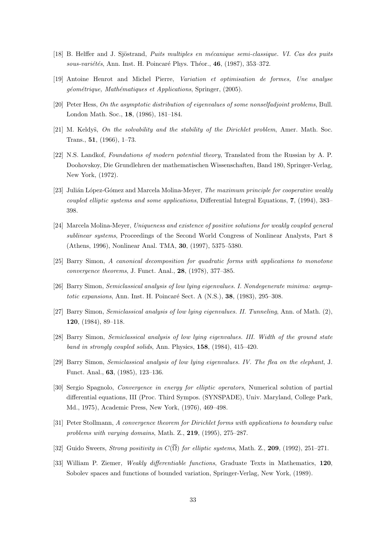- [18] B. Helffer and J. Sjöstrand, *Puits multiples en mécanique semi-classique. VI. Cas des puits* sous-variétés, Ann. Inst. H. Poincaré Phys. Théor.,  $46$ , (1987), 353–372.
- [19] Antoine Henrot and Michel Pierre, Variation et optimisation de formes, Une analyse géométrique, Mathématiques et Applications, Springer, (2005).
- [20] Peter Hess, On the asymptotic distribution of eigenvalues of some nonselfadjoint problems, Bull. London Math. Soc., 18, (1986), 181–184.
- [21] M. Keldys, On the solvability and the stability of the Dirichlet problem, Amer. Math. Soc. Trans., 51, (1966), 1–73.
- [22] N.S. Landkof, Foundations of modern potential theory, Translated from the Russian by A. P. Doohovskoy, Die Grundlehren der mathematischen Wissenschaften, Band 180, Springer-Verlag, New York, (1972).
- [23] Julián López-Gómez and Marcela Molina-Meyer, The maximum principle for cooperative weakly coupled elliptic systems and some applications, Differential Integral Equations, 7, (1994), 383– 398.
- [24] Marcela Molina-Meyer, Uniqueness and existence of positive solutions for weakly coupled general sublinear systems, Proceedings of the Second World Congress of Nonlinear Analysts, Part 8 (Athens, 1996), Nonlinear Anal. TMA, 30, (1997), 5375–5380.
- [25] Barry Simon, A canonical decomposition for quadratic forms with applications to monotone convergence theorems, J. Funct. Anal., 28, (1978), 377–385.
- [26] Barry Simon, Semiclassical analysis of low lying eigenvalues. I. Nondegenerate minima: asymptotic expansions, Ann. Inst. H. Poincaré Sect. A  $(N.S.)$ ,  $38$ ,  $(1983)$ ,  $295-308$ .
- [27] Barry Simon, Semiclassical analysis of low lying eigenvalues. II. Tunneling, Ann. of Math. (2), 120, (1984), 89–118.
- [28] Barry Simon, Semiclassical analysis of low lying eigenvalues. III. Width of the ground state band in strongly coupled solids, Ann. Physics, 158, (1984), 415–420.
- [29] Barry Simon, Semiclassical analysis of low lying eigenvalues. IV. The flea on the elephant, J. Funct. Anal., 63, (1985), 123–136.
- [30] Sergio Spagnolo, Convergence in energy for elliptic operators, Numerical solution of partial differential equations, III (Proc. Third Sympos. (SYNSPADE), Univ. Maryland, College Park, Md., 1975), Academic Press, New York, (1976), 469–498.
- [31] Peter Stollmann, A convergence theorem for Dirichlet forms with applications to boundary value problems with varying domains, Math. Z., 219, (1995), 275–287.
- [32] Guido Sweers, Strong positivity in  $C(\overline{\Omega})$  for elliptic systems, Math. Z., 209, (1992), 251–271.
- [33] William P. Ziemer, Weakly differentiable functions, Graduate Texts in Mathematics, 120, Sobolev spaces and functions of bounded variation, Springer-Verlag, New York, (1989).